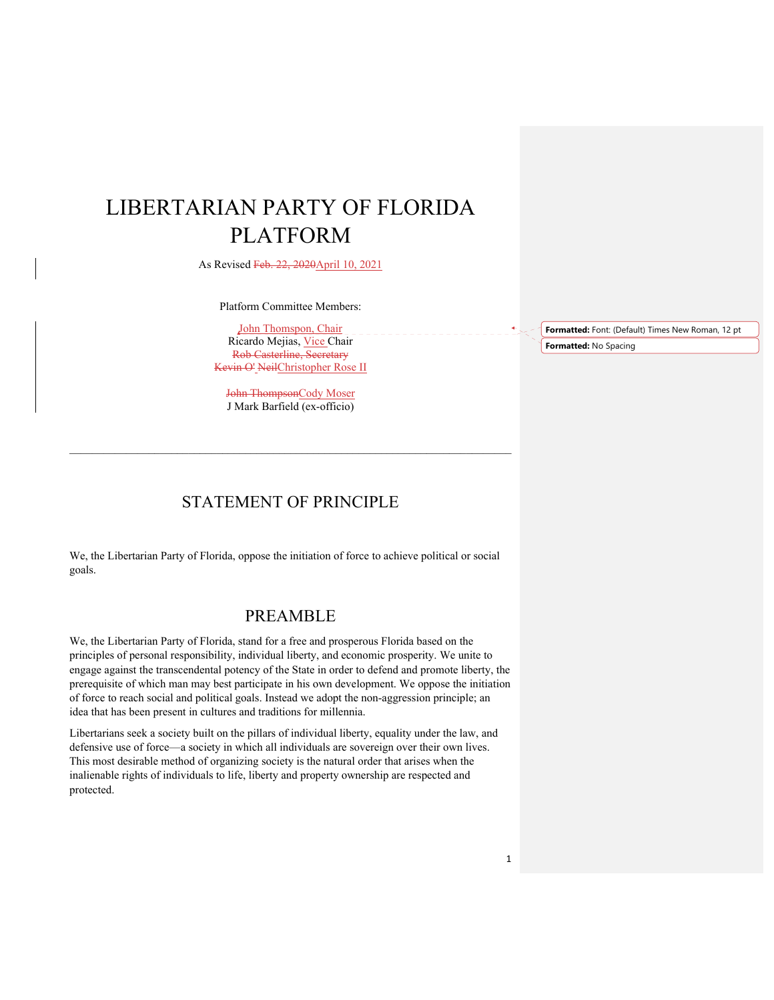# LIBERTARIAN PARTY OF FLORIDA PLATFORM

As Revised Feb. 22, 2020April 10, 2021

Platform Committee Members:

John Thomspon, Chair Ricardo Mejias, Vice Chair Rob Casterline, Secretary Kevin O' NeilChristopher Rose II

John ThompsonCody Moser J Mark Barfield (ex-officio)

 $\_$  , and the set of the set of the set of the set of the set of the set of the set of the set of the set of the set of the set of the set of the set of the set of the set of the set of the set of the set of the set of th

STATEMENT OF PRINCIPLE

We, the Libertarian Party of Florida, oppose the initiation of force to achieve political or social goals.

### PREAMBLE

We, the Libertarian Party of Florida, stand for a free and prosperous Florida based on the principles of personal responsibility, individual liberty, and economic prosperity. We unite to engage against the transcendental potency of the State in order to defend and promote liberty, the prerequisite of which man may best participate in his own development. We oppose the initiation of force to reach social and political goals. Instead we adopt the non-aggression principle; an idea that has been present in cultures and traditions for millennia.

Libertarians seek a society built on the pillars of individual liberty, equality under the law, and defensive use of force—a society in which all individuals are sovereign over their own lives. This most desirable method of organizing society is the natural order that arises when the inalienable rights of individuals to life, liberty and property ownership are respected and protected.

**Formatted:** Font: (Default) Times New Roman, 12 pt **Formatted:** No Spacing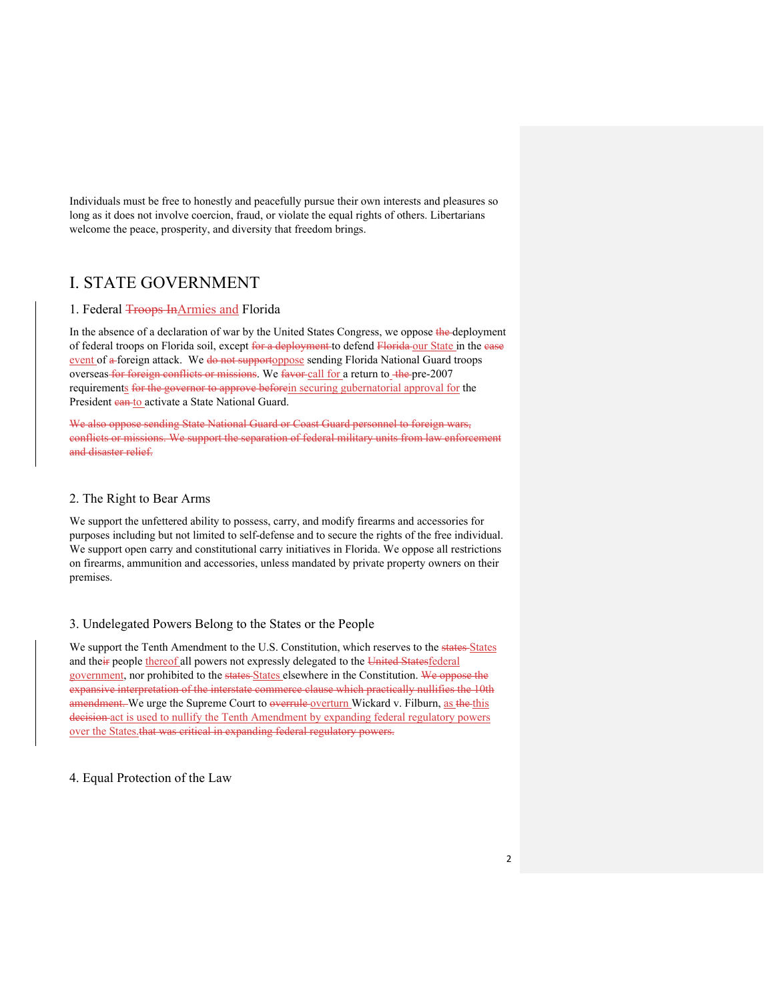Individuals must be free to honestly and peacefully pursue their own interests and pleasures so long as it does not involve coercion, fraud, or violate the equal rights of others. Libertarians welcome the peace, prosperity, and diversity that freedom brings.

# I. STATE GOVERNMENT

### 1. Federal **Troops In**Armies and Florida

In the absence of a declaration of war by the United States Congress, we oppose the deployment of federal troops on Florida soil, except for a deployment to defend Florida our State in the case event of a foreign attack. We do not supportoppose sending Florida National Guard troops overseas for foreign conflicts or missions. We favor call for a return to the pre-2007 requirements for the governor to approve beforein securing gubernatorial approval for the President can to activate a State National Guard.

We also oppose sending State National Guard or Coast Guard personnel to foreign wars, conflicts or missions. We support the separation of federal military units from law enforcement and disaster relief.

### 2. The Right to Bear Arms

We support the unfettered ability to possess, carry, and modify firearms and accessories for purposes including but not limited to self-defense and to secure the rights of the free individual. We support open carry and constitutional carry initiatives in Florida. We oppose all restrictions on firearms, ammunition and accessories, unless mandated by private property owners on their premises.

### 3. Undelegated Powers Belong to the States or the People

We support the Tenth Amendment to the U.S. Constitution, which reserves to the states States and their people thereof all powers not expressly delegated to the United Statesfederal government, nor prohibited to the states-States elsewhere in the Constitution. We oppose the expansive interpretation of the interstate commerce clause which practically nullifies the 10th amendment. We urge the Supreme Court to overrule overturn Wickard v. Filburn, as the this decision act is used to nullify the Tenth Amendment by expanding federal regulatory powers over the States.that was critical in expanding federal regulatory powers.

### 4. Equal Protection of the Law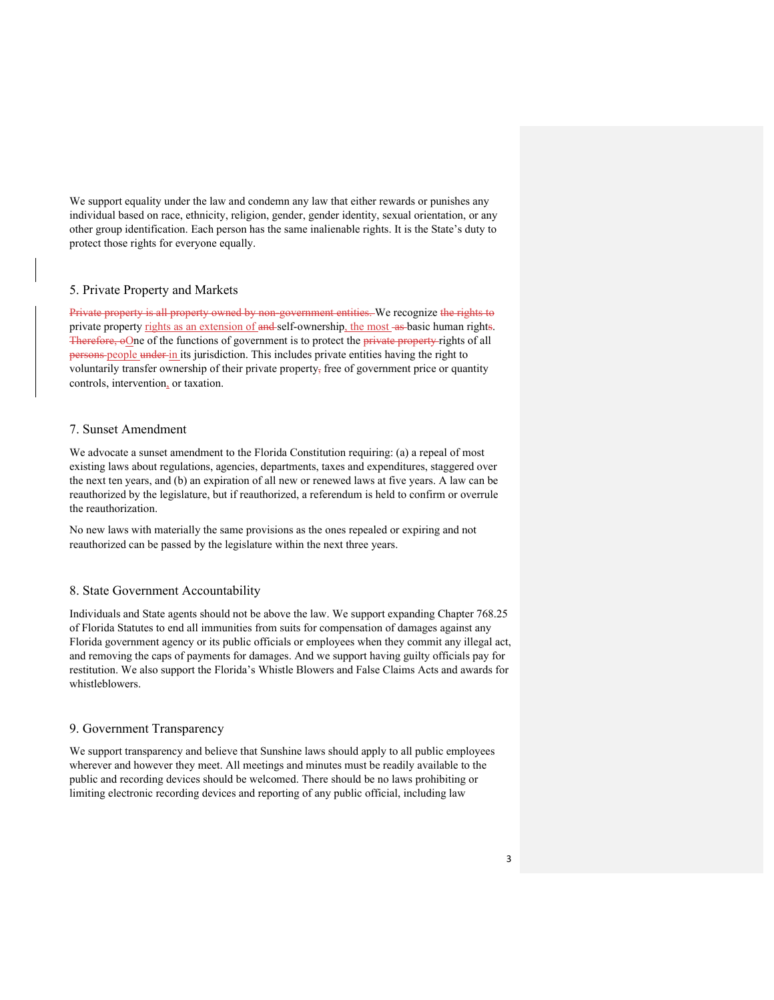We support equality under the law and condemn any law that either rewards or punishes any individual based on race, ethnicity, religion, gender, gender identity, sexual orientation, or any other group identification. Each person has the same inalienable rights. It is the State's duty to protect those rights for everyone equally.

### 5. Private Property and Markets

Private property is all property owned by non-government entities. We recognize the rights to private property rights as an extension of and self-ownership, the most as basic human rights. Therefore, oOne of the functions of government is to protect the private property rights of all persons people under in its jurisdiction. This includes private entities having the right to voluntarily transfer ownership of their private property, free of government price or quantity controls, intervention, or taxation.

#### 7. Sunset Amendment

We advocate a sunset amendment to the Florida Constitution requiring: (a) a repeal of most existing laws about regulations, agencies, departments, taxes and expenditures, staggered over the next ten years, and (b) an expiration of all new or renewed laws at five years. A law can be reauthorized by the legislature, but if reauthorized, a referendum is held to confirm or overrule the reauthorization.

No new laws with materially the same provisions as the ones repealed or expiring and not reauthorized can be passed by the legislature within the next three years.

#### 8. State Government Accountability

Individuals and State agents should not be above the law. We support expanding Chapter 768.25 of Florida Statutes to end all immunities from suits for compensation of damages against any Florida government agency or its public officials or employees when they commit any illegal act, and removing the caps of payments for damages. And we support having guilty officials pay for restitution. We also support the Florida's Whistle Blowers and False Claims Acts and awards for whistleblowers.

#### 9. Government Transparency

We support transparency and believe that Sunshine laws should apply to all public employees wherever and however they meet. All meetings and minutes must be readily available to the public and recording devices should be welcomed. There should be no laws prohibiting or limiting electronic recording devices and reporting of any public official, including law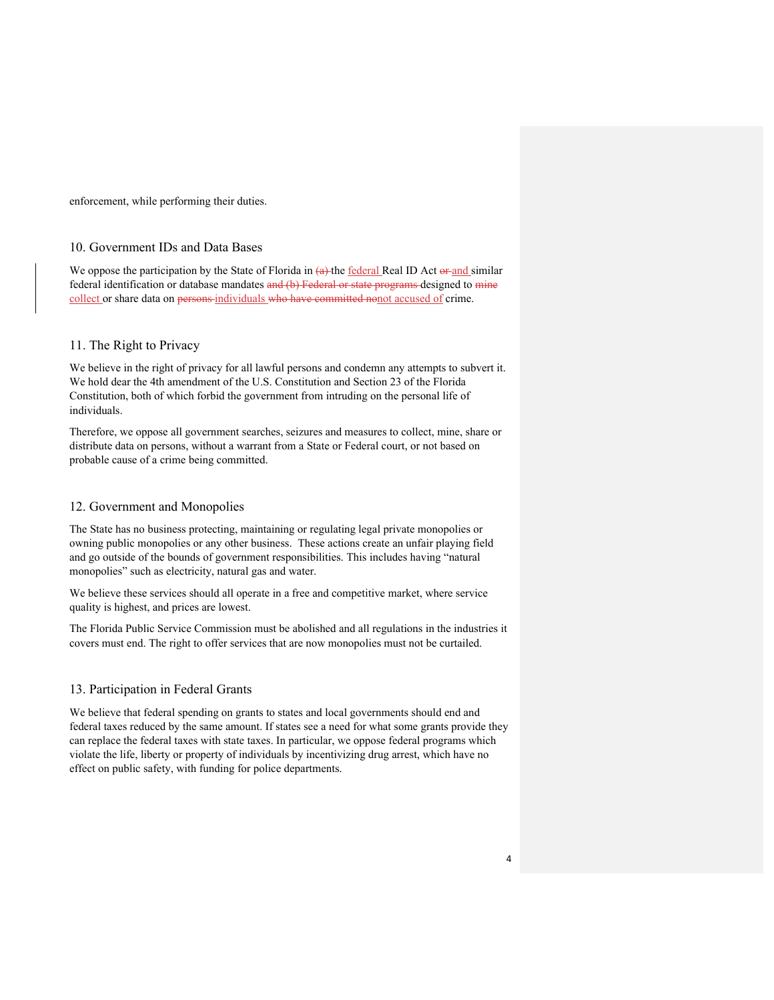enforcement, while performing their duties.

### 10. Government IDs and Data Bases

We oppose the participation by the State of Florida in  $(a)$ -the federal Real ID Act  $a$ -and similar federal identification or database mandates and (b) Federal or state programs designed to mine collect or share data on persons-individuals who have committed nonot accused of crime.

#### 11. The Right to Privacy

We believe in the right of privacy for all lawful persons and condemn any attempts to subvert it. We hold dear the 4th amendment of the U.S. Constitution and Section 23 of the Florida Constitution, both of which forbid the government from intruding on the personal life of individuals.

Therefore, we oppose all government searches, seizures and measures to collect, mine, share or distribute data on persons, without a warrant from a State or Federal court, or not based on probable cause of a crime being committed.

#### 12. Government and Monopolies

The State has no business protecting, maintaining or regulating legal private monopolies or owning public monopolies or any other business. These actions create an unfair playing field and go outside of the bounds of government responsibilities. This includes having "natural monopolies" such as electricity, natural gas and water.

We believe these services should all operate in a free and competitive market, where service quality is highest, and prices are lowest.

The Florida Public Service Commission must be abolished and all regulations in the industries it covers must end. The right to offer services that are now monopolies must not be curtailed.

#### 13. Participation in Federal Grants

We believe that federal spending on grants to states and local governments should end and federal taxes reduced by the same amount. If states see a need for what some grants provide they can replace the federal taxes with state taxes. In particular, we oppose federal programs which violate the life, liberty or property of individuals by incentivizing drug arrest, which have no effect on public safety, with funding for police departments.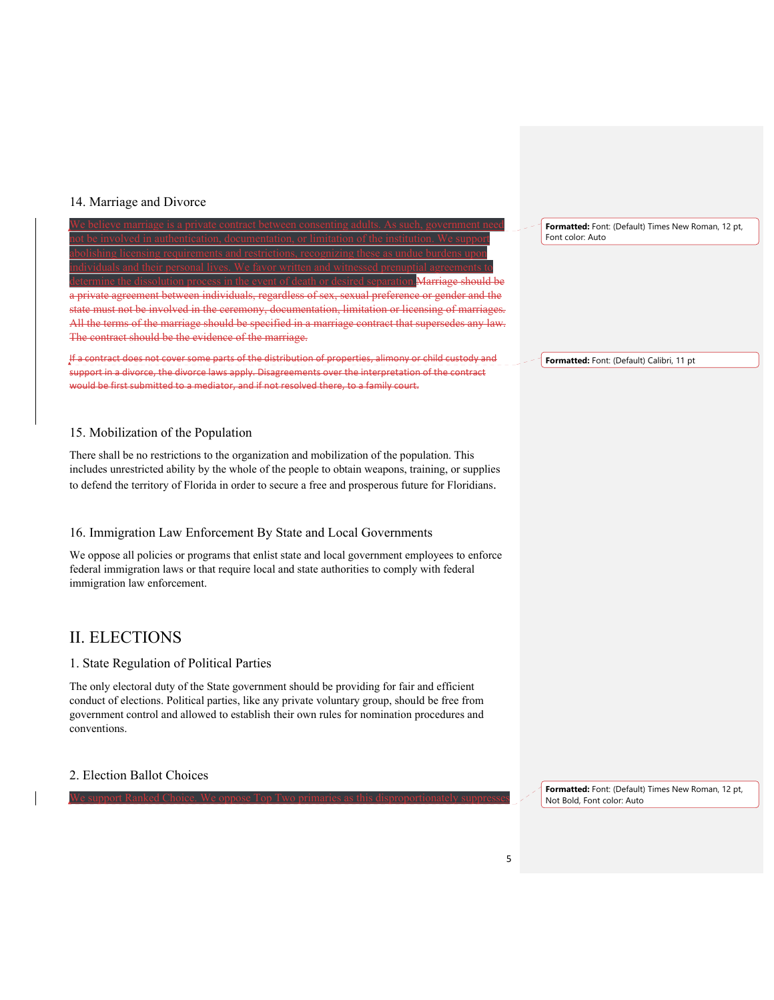### 14. Marriage and Divorce



### 15. Mobilization of the Population

There shall be no restrictions to the organization and mobilization of the population. This includes unrestricted ability by the whole of the people to obtain weapons, training, or supplies to defend the territory of Florida in order to secure a free and prosperous future for Floridians.

### 16. Immigration Law Enforcement By State and Local Governments

We oppose all policies or programs that enlist state and local government employees to enforce federal immigration laws or that require local and state authorities to comply with federal immigration law enforcement.

### II. ELECTIONS

### 1. State Regulation of Political Parties

The only electoral duty of the State government should be providing for fair and efficient conduct of elections. Political parties, like any private voluntary group, should be free from government control and allowed to establish their own rules for nomination procedures and conventions.

We support Ranked Choice. We oppose Top Two primaries as this disproportionately suppresses

### 2. Election Ballot Choices

**Formatted:** Font: (Default) Times New Roman, 12 pt, Font color: Auto

**Formatted:** Font: (Default) Calibri, 11 pt

**Formatted:** Font: (Default) Times New Roman, 12 pt, Not Bold, Font color: Auto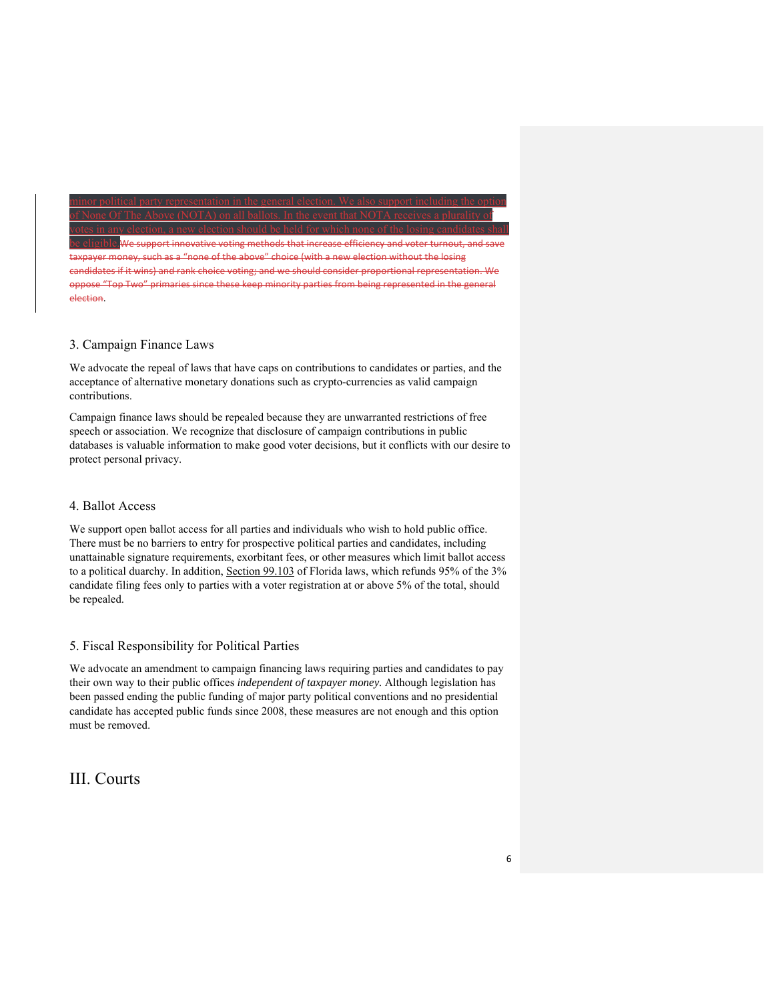#### of None Of The Above (NOTA) on all ballots. In the event that NOTA receives a plurality of votes in any election, a new election should be held for which none of the losing candidates shall

support innovative voting methods that increase efficiency and voter turnout, and save "none of the above" choice (with a new election without the losing candidates if it wins) and rank choice voting; and we should consider proportional representation. We oppose "Top Two" primaries since these keep minority parties from being represented in the general election.

minor political party representation in the general election. We also support including the option

### 3. Campaign Finance Laws

We advocate the repeal of laws that have caps on contributions to candidates or parties, and the acceptance of alternative monetary donations such as crypto-currencies as valid campaign contributions.

Campaign finance laws should be repealed because they are unwarranted restrictions of free speech or association. We recognize that disclosure of campaign contributions in public databases is valuable information to make good voter decisions, but it conflicts with our desire to protect personal privacy.

### 4. Ballot Access

We support open ballot access for all parties and individuals who wish to hold public office. There must be no barriers to entry for prospective political parties and candidates, including unattainable signature requirements, exorbitant fees, or other measures which limit ballot access to a political duarchy. In addition, Section 99.103 of Florida laws, which refunds 95% of the 3% candidate filing fees only to parties with a voter registration at or above 5% of the total, should be repealed.

### 5. Fiscal Responsibility for Political Parties

We advocate an amendment to campaign financing laws requiring parties and candidates to pay their own way to their public offices *independent of taxpayer money.* Although legislation has been passed ending the public funding of major party political conventions and no presidential candidate has accepted public funds since 2008, these measures are not enough and this option must be removed.

# III. Courts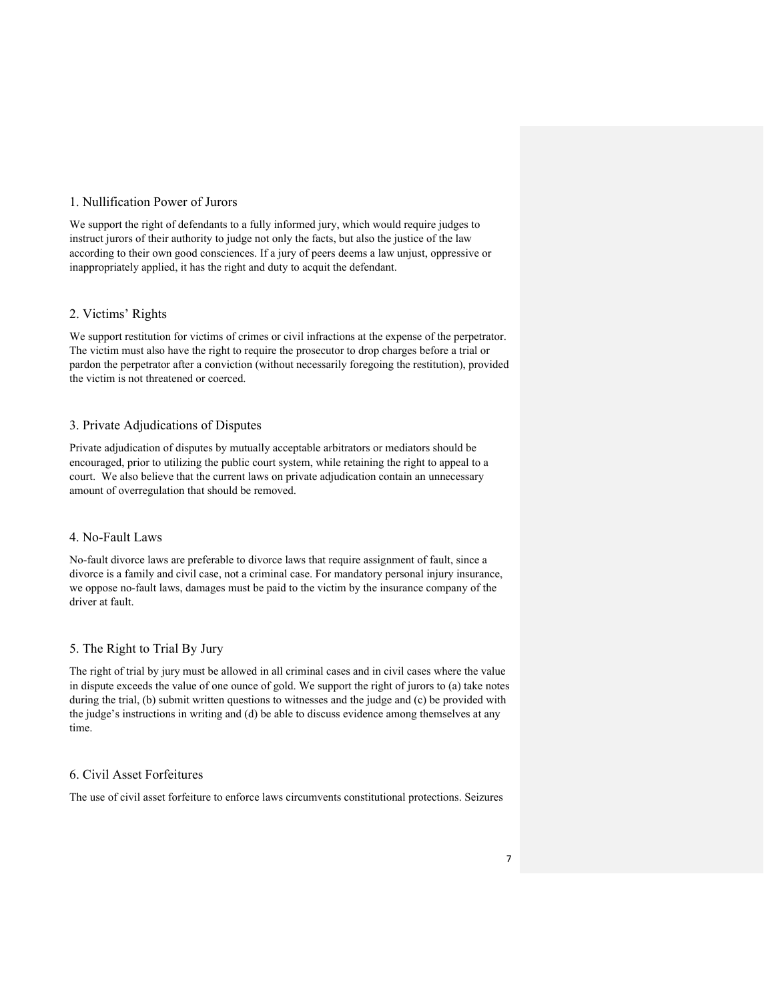### 1. Nullification Power of Jurors

We support the right of defendants to a fully informed jury, which would require judges to instruct jurors of their authority to judge not only the facts, but also the justice of the law according to their own good consciences. If a jury of peers deems a law unjust, oppressive or inappropriately applied, it has the right and duty to acquit the defendant.

### 2. Victims' Rights

We support restitution for victims of crimes or civil infractions at the expense of the perpetrator. The victim must also have the right to require the prosecutor to drop charges before a trial or pardon the perpetrator after a conviction (without necessarily foregoing the restitution), provided the victim is not threatened or coerced.

### 3. Private Adjudications of Disputes

Private adjudication of disputes by mutually acceptable arbitrators or mediators should be encouraged, prior to utilizing the public court system, while retaining the right to appeal to a court. We also believe that the current laws on private adjudication contain an unnecessary amount of overregulation that should be removed.

### 4. No-Fault Laws

No-fault divorce laws are preferable to divorce laws that require assignment of fault, since a divorce is a family and civil case, not a criminal case. For mandatory personal injury insurance, we oppose no-fault laws, damages must be paid to the victim by the insurance company of the driver at fault.

### 5. The Right to Trial By Jury

The right of trial by jury must be allowed in all criminal cases and in civil cases where the value in dispute exceeds the value of one ounce of gold. We support the right of jurors to (a) take notes during the trial, (b) submit written questions to witnesses and the judge and (c) be provided with the judge's instructions in writing and (d) be able to discuss evidence among themselves at any time.

### 6. Civil Asset Forfeitures

The use of civil asset forfeiture to enforce laws circumvents constitutional protections. Seizures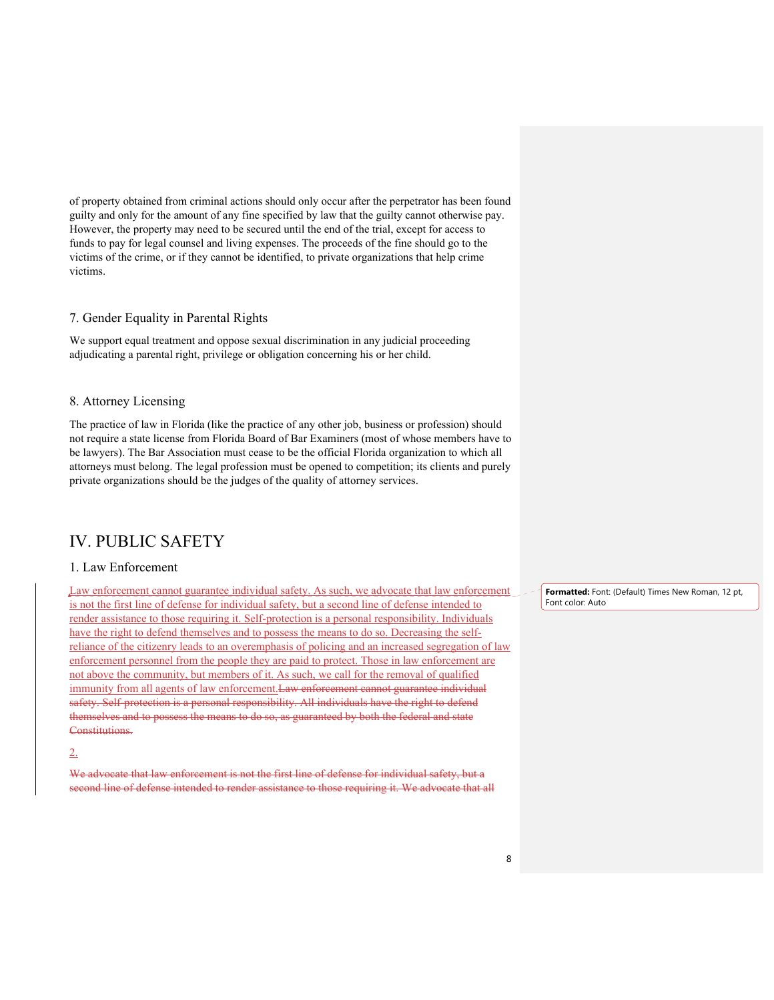of property obtained from criminal actions should only occur after the perpetrator has been found guilty and only for the amount of any fine specified by law that the guilty cannot otherwise pay. However, the property may need to be secured until the end of the trial, except for access to funds to pay for legal counsel and living expenses. The proceeds of the fine should go to the victims of the crime, or if they cannot be identified, to private organizations that help crime victims.

#### 7. Gender Equality in Parental Rights

We support equal treatment and oppose sexual discrimination in any judicial proceeding adjudicating a parental right, privilege or obligation concerning his or her child.

#### 8. Attorney Licensing

The practice of law in Florida (like the practice of any other job, business or profession) should not require a state license from Florida Board of Bar Examiners (most of whose members have to be lawyers). The Bar Association must cease to be the official Florida organization to which all attorneys must belong. The legal profession must be opened to competition; its clients and purely private organizations should be the judges of the quality of attorney services.

### IV. PUBLIC SAFETY

#### 1. Law Enforcement

Law enforcement cannot guarantee individual safety. As such, we advocate that law enforcement is not the first line of defense for individual safety, but a second line of defense intended to render assistance to those requiring it. Self-protection is a personal responsibility. Individuals have the right to defend themselves and to possess the means to do so. Decreasing the selfreliance of the citizenry leads to an overemphasis of policing and an increased segregation of law enforcement personnel from the people they are paid to protect. Those in law enforcement are not above the community, but members of it. As such, we call for the removal of qualified immunity from all agents of law enforcement. Law enforcement cannot guarantee individual safety. Self-protection is a personal responsibility. All individuals have the right to defend themselves and to possess the means to do so, as guaranteed by both the federal and state Constitutions.

2.

We advocate that law enforcement is not the first line of defense for individual safety, but a second line of defense intended to render assistance to those requiring it. We advocate that all **Formatted:** Font: (Default) Times New Roman, 12 pt, Font color: Auto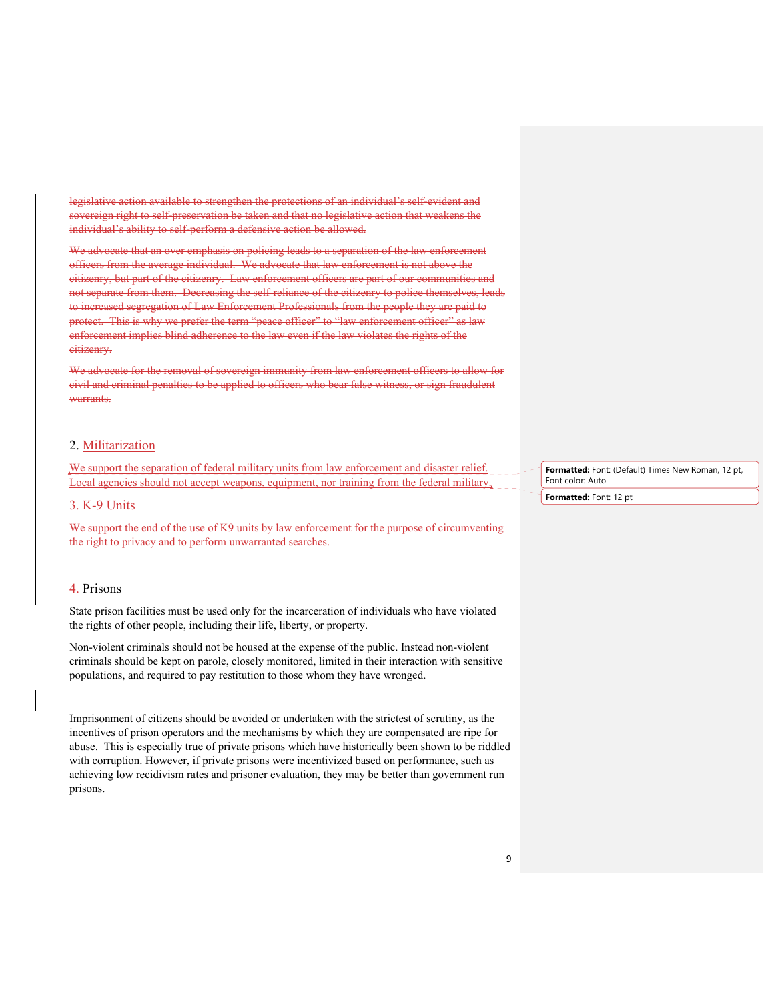legislative action available to strengthen the protections of an individual's self-evident and sovereign right to self-preservation be taken and that no legislative action that weakens the individual's ability to self-perform a defensive action be allowed.

We advocate that an over emphasis on policing leads to a separation of the law enforcement officers from the average individual. We advocate that law enforcement is not above the citizenry, but part of the citizenry. Law enforcement officers are part of our communities and not separate from them. Decreasing the self-reliance of the citizenry to police themselves, leads to increased segregation of Law Enforcement Professionals from the people they are paid to protect. This is why we prefer the term "peace officer" to "law enforcement officer" as law enforcement implies blind adherence to the law even if the law violates the rights of the eitizenry.

We advocate for the removal of sovereign immunity from law enforcement officers to allow for civil and criminal penalties to be applied to officers who bear false witness, or sign fraudulent warrants.

### 2. Militarization

We support the separation of federal military units from law enforcement and disaster relief. Local agencies should not accept weapons, equipment, nor training from the federal military,

#### 3. K-9 Units

We support the end of the use of K9 units by law enforcement for the purpose of circumventing the right to privacy and to perform unwarranted searches.

#### 4. Prisons

State prison facilities must be used only for the incarceration of individuals who have violated the rights of other people, including their life, liberty, or property.

Non-violent criminals should not be housed at the expense of the public. Instead non-violent criminals should be kept on parole, closely monitored, limited in their interaction with sensitive populations, and required to pay restitution to those whom they have wronged.

Imprisonment of citizens should be avoided or undertaken with the strictest of scrutiny, as the incentives of prison operators and the mechanisms by which they are compensated are ripe for abuse. This is especially true of private prisons which have historically been shown to be riddled with corruption. However, if private prisons were incentivized based on performance, such as achieving low recidivism rates and prisoner evaluation, they may be better than government run prisons.

**Formatted:** Font: (Default) Times New Roman, 12 pt, Font color: Auto

**Formatted:** Font: 12 pt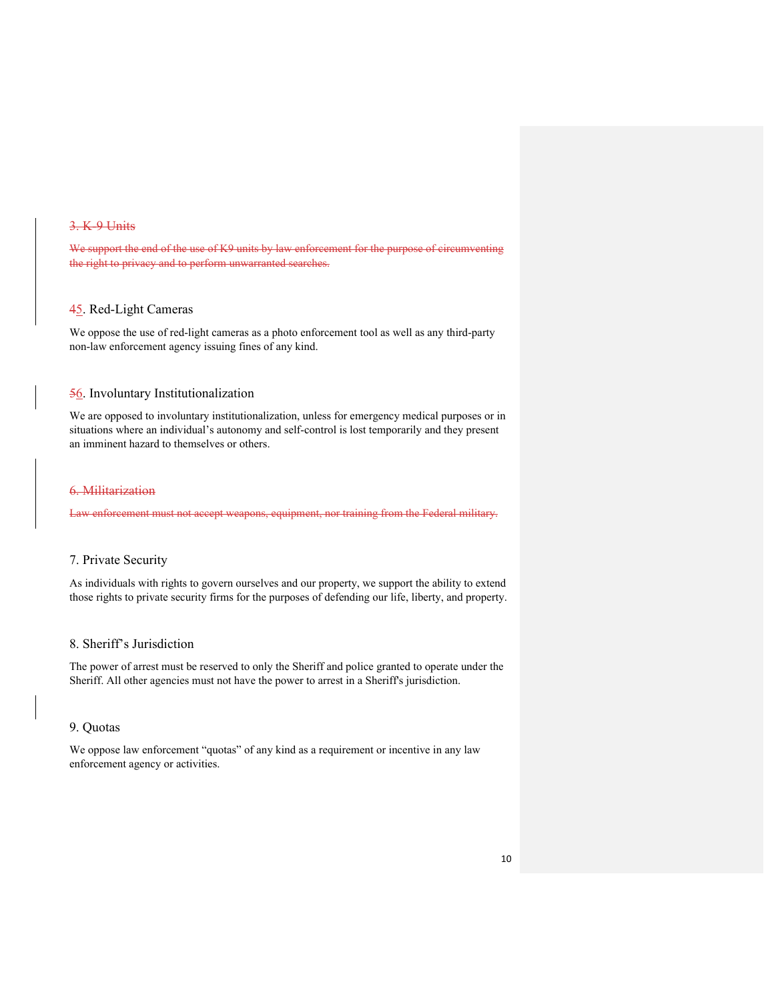#### 3. K-9 Units

We support the end of the use of K9 units by law enforcement for the purpose of circumventing the right to privacy and to perform unwarranted searches.

### 45. Red-Light Cameras

We oppose the use of red-light cameras as a photo enforcement tool as well as any third-party non-law enforcement agency issuing fines of any kind.

#### 56. Involuntary Institutionalization

We are opposed to involuntary institutionalization, unless for emergency medical purposes or in situations where an individual's autonomy and self-control is lost temporarily and they present an imminent hazard to themselves or others.

#### 6. Militarization

enforcement must not accept weapons, equipment, nor training from the Federal military.

### 7. Private Security

As individuals with rights to govern ourselves and our property, we support the ability to extend those rights to private security firms for the purposes of defending our life, liberty, and property.

#### 8. Sheriff's Jurisdiction

The power of arrest must be reserved to only the Sheriff and police granted to operate under the Sheriff. All other agencies must not have the power to arrest in a Sheriff's jurisdiction.

### 9. Quotas

We oppose law enforcement "quotas" of any kind as a requirement or incentive in any law enforcement agency or activities.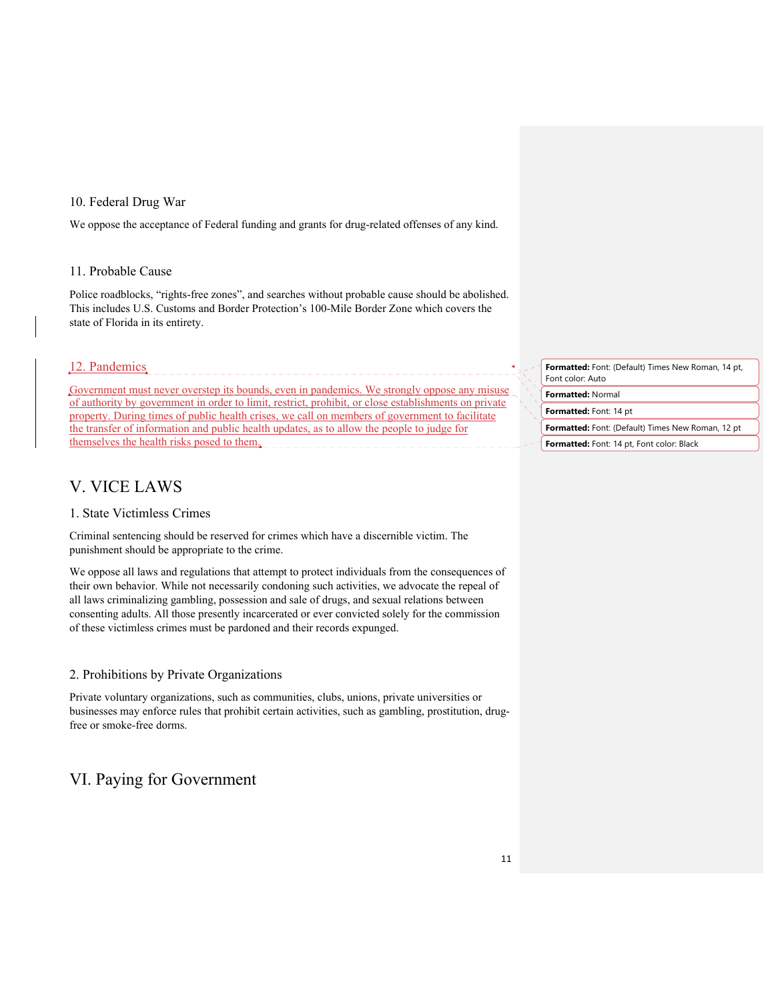### 10. Federal Drug War

We oppose the acceptance of Federal funding and grants for drug-related offenses of any kind.

### 11. Probable Cause

Police roadblocks, "rights-free zones", and searches without probable cause should be abolished. This includes U.S. Customs and Border Protection's 100-Mile Border Zone which covers the state of Florida in its entirety.

### 12. Pandemics

Government must never overstep its bounds, even in pandemics. We strongly oppose any misuse of authority by government in order to limit, restrict, prohibit, or close establishments on private property. During times of public health crises, we call on members of government to facilitate the transfer of information and public health updates, as to allow the people to judge for themselves the health risks posed to them.

### V. VICE LAWS

### 1. State Victimless Crimes

Criminal sentencing should be reserved for crimes which have a discernible victim. The punishment should be appropriate to the crime.

We oppose all laws and regulations that attempt to protect individuals from the consequences of their own behavior. While not necessarily condoning such activities, we advocate the repeal of all laws criminalizing gambling, possession and sale of drugs, and sexual relations between consenting adults. All those presently incarcerated or ever convicted solely for the commission of these victimless crimes must be pardoned and their records expunged.

### 2. Prohibitions by Private Organizations

Private voluntary organizations, such as communities, clubs, unions, private universities or businesses may enforce rules that prohibit certain activities, such as gambling, prostitution, drugfree or smoke-free dorms.

### VI. Paying for Government

**Formatted:** Font: (Default) Times New Roman, 14 pt, Font color: Auto

**Formatted:** Normal

**Formatted:** Font: 14 pt

**Formatted:** Font: (Default) Times New Roman, 12 pt

**Formatted:** Font: 14 pt, Font color: Black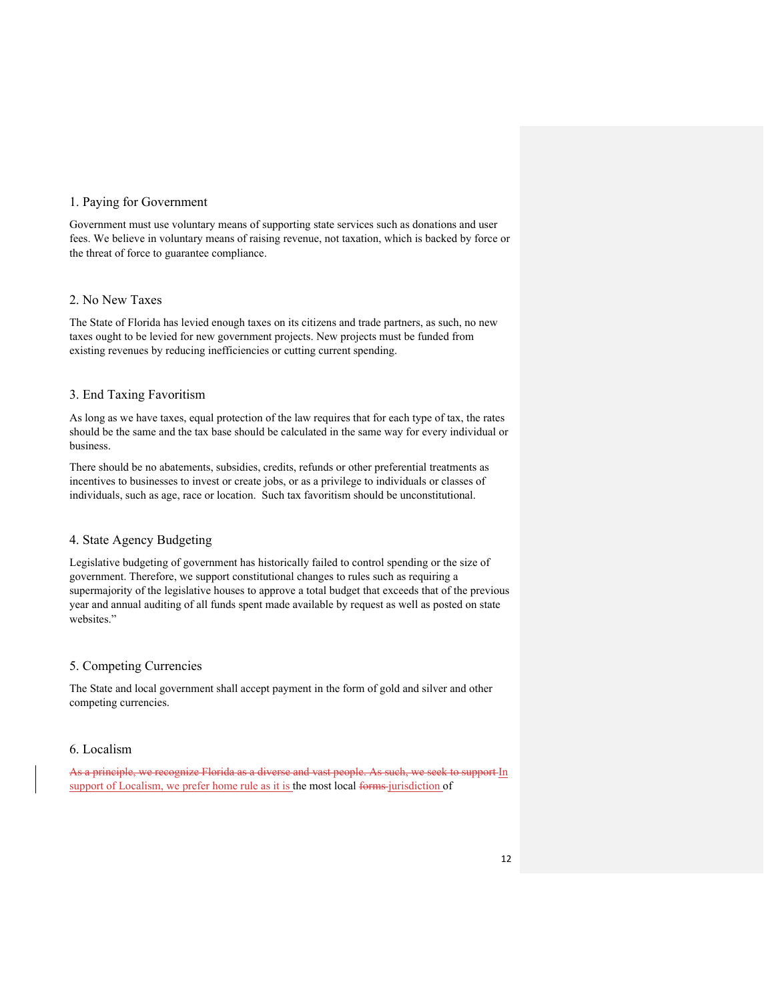### 1. Paying for Government

Government must use voluntary means of supporting state services such as donations and user fees. We believe in voluntary means of raising revenue, not taxation, which is backed by force or the threat of force to guarantee compliance.

### 2. No New Taxes

The State of Florida has levied enough taxes on its citizens and trade partners, as such, no new taxes ought to be levied for new government projects. New projects must be funded from existing revenues by reducing inefficiencies or cutting current spending.

### 3. End Taxing Favoritism

As long as we have taxes, equal protection of the law requires that for each type of tax, the rates should be the same and the tax base should be calculated in the same way for every individual or business.

There should be no abatements, subsidies, credits, refunds or other preferential treatments as incentives to businesses to invest or create jobs, or as a privilege to individuals or classes of individuals, such as age, race or location. Such tax favoritism should be unconstitutional.

### 4. State Agency Budgeting

Legislative budgeting of government has historically failed to control spending or the size of government. Therefore, we support constitutional changes to rules such as requiring a supermajority of the legislative houses to approve a total budget that exceeds that of the previous year and annual auditing of all funds spent made available by request as well as posted on state websites."

#### 5. Competing Currencies

The State and local government shall accept payment in the form of gold and silver and other competing currencies.

### 6. Localism

As a principle, we recognize Florida as a diverse and vast people. As such, we seek to support In support of Localism, we prefer home rule as it is the most local forms jurisdiction of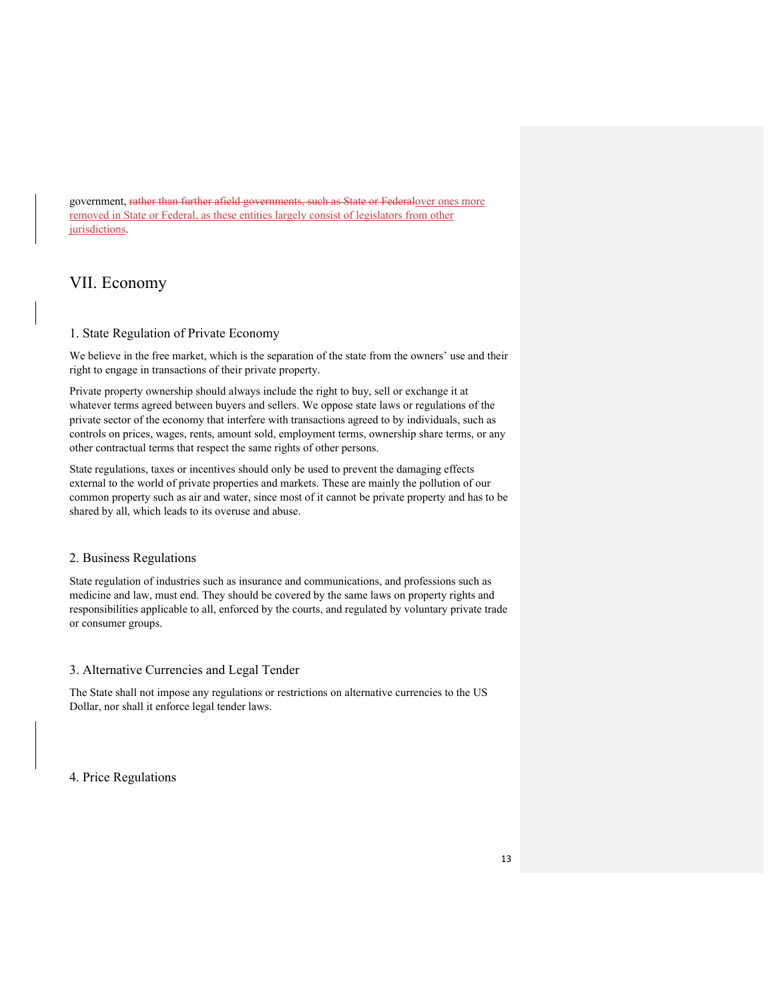government, rather than further afield governments, such as State or Federalover ones more removed in State or Federal, as these entities largely consist of legislators from other jurisdictions.

# VII. Economy

### 1. State Regulation of Private Economy

We believe in the free market, which is the separation of the state from the owners' use and their right to engage in transactions of their private property.

Private property ownership should always include the right to buy, sell or exchange it at whatever terms agreed between buyers and sellers. We oppose state laws or regulations of the private sector of the economy that interfere with transactions agreed to by individuals, such as controls on prices, wages, rents, amount sold, employment terms, ownership share terms, or any other contractual terms that respect the same rights of other persons.

State regulations, taxes or incentives should only be used to prevent the damaging effects external to the world of private properties and markets. These are mainly the pollution of our common property such as air and water, since most of it cannot be private property and has to be shared by all, which leads to its overuse and abuse.

### 2. Business Regulations

State regulation of industries such as insurance and communications, and professions such as medicine and law, must end. They should be covered by the same laws on property rights and responsibilities applicable to all, enforced by the courts, and regulated by voluntary private trade or consumer groups.

### 3. Alternative Currencies and Legal Tender

The State shall not impose any regulations or restrictions on alternative currencies to the US Dollar, nor shall it enforce legal tender laws.

4. Price Regulations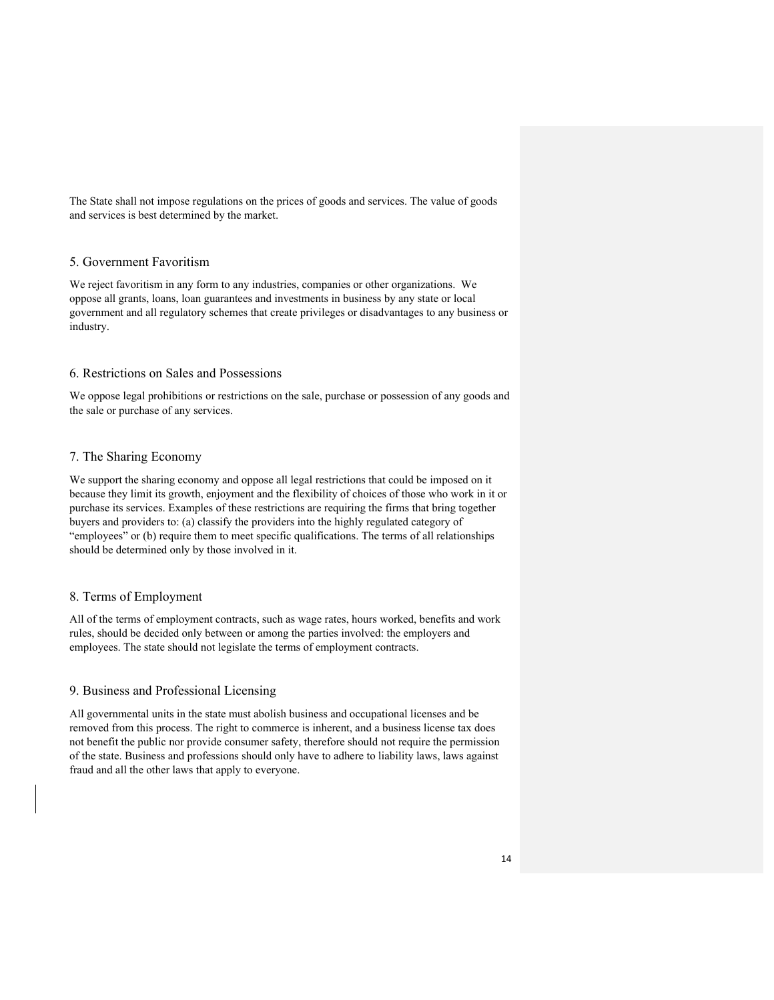The State shall not impose regulations on the prices of goods and services. The value of goods and services is best determined by the market.

#### 5. Government Favoritism

We reject favoritism in any form to any industries, companies or other organizations. We oppose all grants, loans, loan guarantees and investments in business by any state or local government and all regulatory schemes that create privileges or disadvantages to any business or industry.

### 6. Restrictions on Sales and Possessions

We oppose legal prohibitions or restrictions on the sale, purchase or possession of any goods and the sale or purchase of any services.

### 7. The Sharing Economy

We support the sharing economy and oppose all legal restrictions that could be imposed on it because they limit its growth, enjoyment and the flexibility of choices of those who work in it or purchase its services. Examples of these restrictions are requiring the firms that bring together buyers and providers to: (a) classify the providers into the highly regulated category of "employees" or (b) require them to meet specific qualifications. The terms of all relationships should be determined only by those involved in it.

### 8. Terms of Employment

All of the terms of employment contracts, such as wage rates, hours worked, benefits and work rules, should be decided only between or among the parties involved: the employers and employees. The state should not legislate the terms of employment contracts.

### 9. Business and Professional Licensing

All governmental units in the state must abolish business and occupational licenses and be removed from this process. The right to commerce is inherent, and a business license tax does not benefit the public nor provide consumer safety, therefore should not require the permission of the state. Business and professions should only have to adhere to liability laws, laws against fraud and all the other laws that apply to everyone.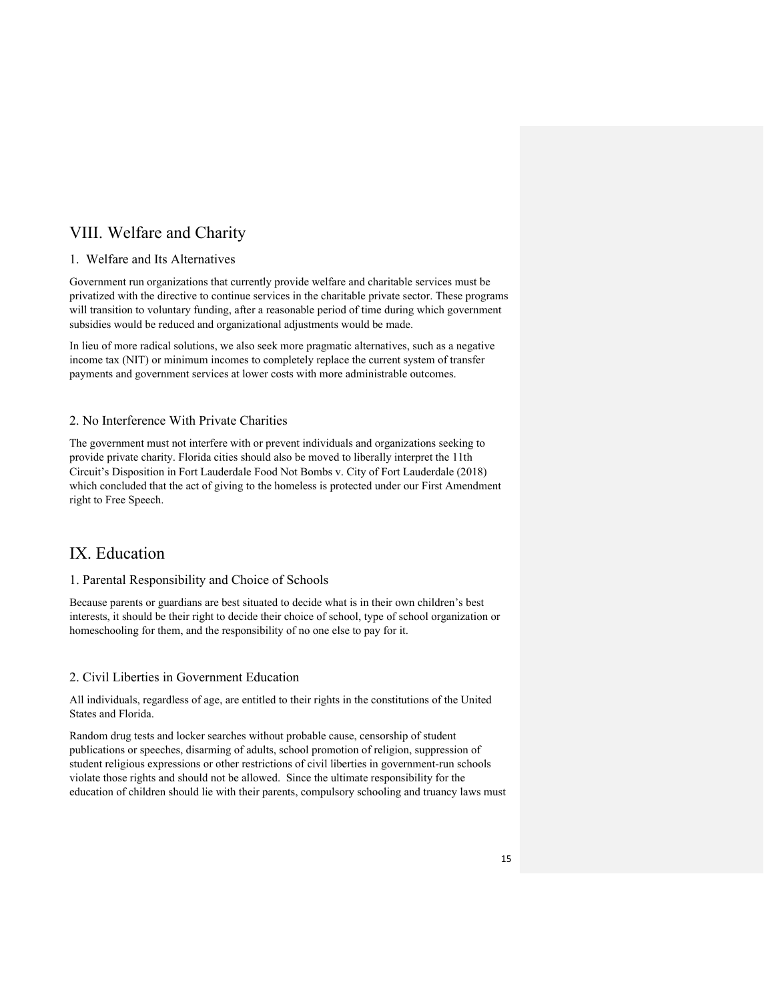# VIII. Welfare and Charity

### 1. Welfare and Its Alternatives

Government run organizations that currently provide welfare and charitable services must be privatized with the directive to continue services in the charitable private sector. These programs will transition to voluntary funding, after a reasonable period of time during which government subsidies would be reduced and organizational adjustments would be made.

In lieu of more radical solutions, we also seek more pragmatic alternatives, such as a negative income tax (NIT) or minimum incomes to completely replace the current system of transfer payments and government services at lower costs with more administrable outcomes.

### 2. No Interference With Private Charities

The government must not interfere with or prevent individuals and organizations seeking to provide private charity. Florida cities should also be moved to liberally interpret the 11th Circuit's Disposition in Fort Lauderdale Food Not Bombs v. City of Fort Lauderdale (2018) which concluded that the act of giving to the homeless is protected under our First Amendment right to Free Speech.

### IX. Education

### 1. Parental Responsibility and Choice of Schools

Because parents or guardians are best situated to decide what is in their own children's best interests, it should be their right to decide their choice of school, type of school organization or homeschooling for them, and the responsibility of no one else to pay for it.

### 2. Civil Liberties in Government Education

All individuals, regardless of age, are entitled to their rights in the constitutions of the United States and Florida.

Random drug tests and locker searches without probable cause, censorship of student publications or speeches, disarming of adults, school promotion of religion, suppression of student religious expressions or other restrictions of civil liberties in government-run schools violate those rights and should not be allowed. Since the ultimate responsibility for the education of children should lie with their parents, compulsory schooling and truancy laws must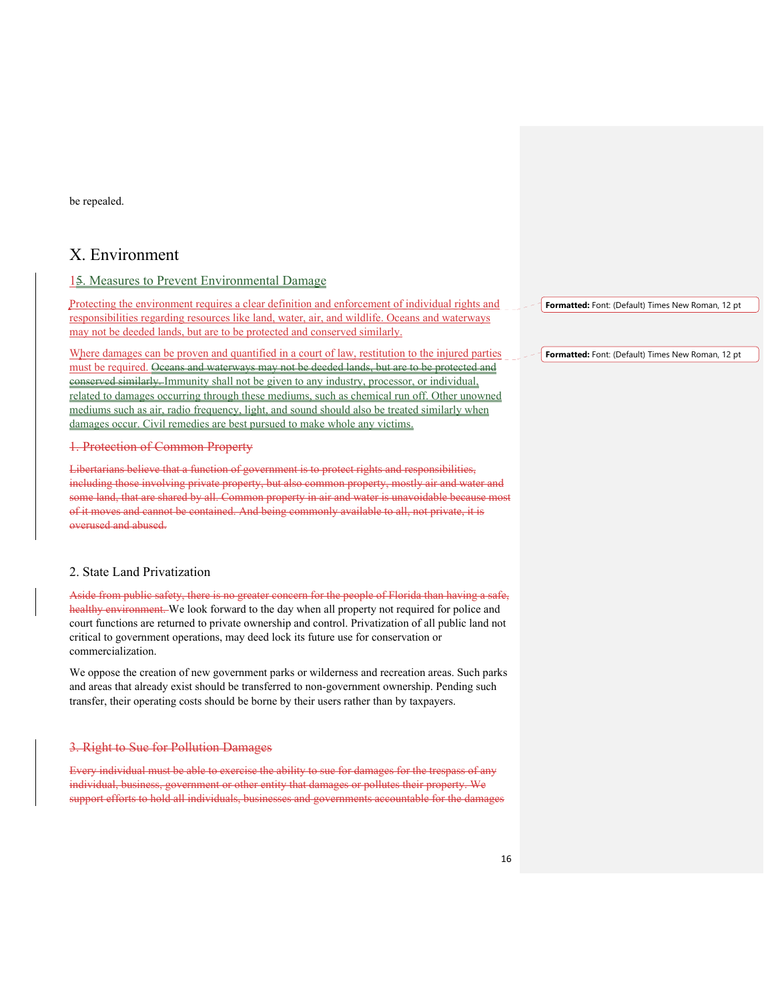be repealed.

### X. Environment

### 15. Measures to Prevent Environmental Damage

Protecting the environment requires a clear definition and enforcement of individual rights and responsibilities regarding resources like land, water, air, and wildlife. Oceans and waterways may not be deeded lands, but are to be protected and conserved similarly.

Where damages can be proven and quantified in a court of law, restitution to the injured parties must be required. Oceans and waterways may not be deeded lands, but are to be protected and conserved similarly. Immunity shall not be given to any industry, processor, or individual, related to damages occurring through these mediums, such as chemical run off. Other unowned mediums such as air, radio frequency, light, and sound should also be treated similarly when damages occur. Civil remedies are best pursued to make whole any victims.

#### 1. Protection of Common Property

Libertarians believe that a function of government is to protect rights and responsibilities, including those involving private property, but also common property, mostly air and water and some land, that are shared by all. Common property in air and water is unavoidable because most of it moves and cannot be contained. And being commonly available to all, not private, it is overused and abused.

### 2. State Land Privatization

Aside from public safety, there is no greater concern for the people of Florida than having a safe, healthy environment. We look forward to the day when all property not required for police and court functions are returned to private ownership and control. Privatization of all public land not critical to government operations, may deed lock its future use for conservation or commercialization.

We oppose the creation of new government parks or wilderness and recreation areas. Such parks and areas that already exist should be transferred to non-government ownership. Pending such transfer, their operating costs should be borne by their users rather than by taxpayers.

#### 3. Right to Sue for Pollution Damages

Every individual must be able to exercise the ability to sue for damages for the trespass of any individual, business, government or other entity that damages or pollutes their property. We support efforts to hold all individuals, businesses and governments accountable for the damages **Formatted:** Font: (Default) Times New Roman, 12 pt

**Formatted:** Font: (Default) Times New Roman, 12 pt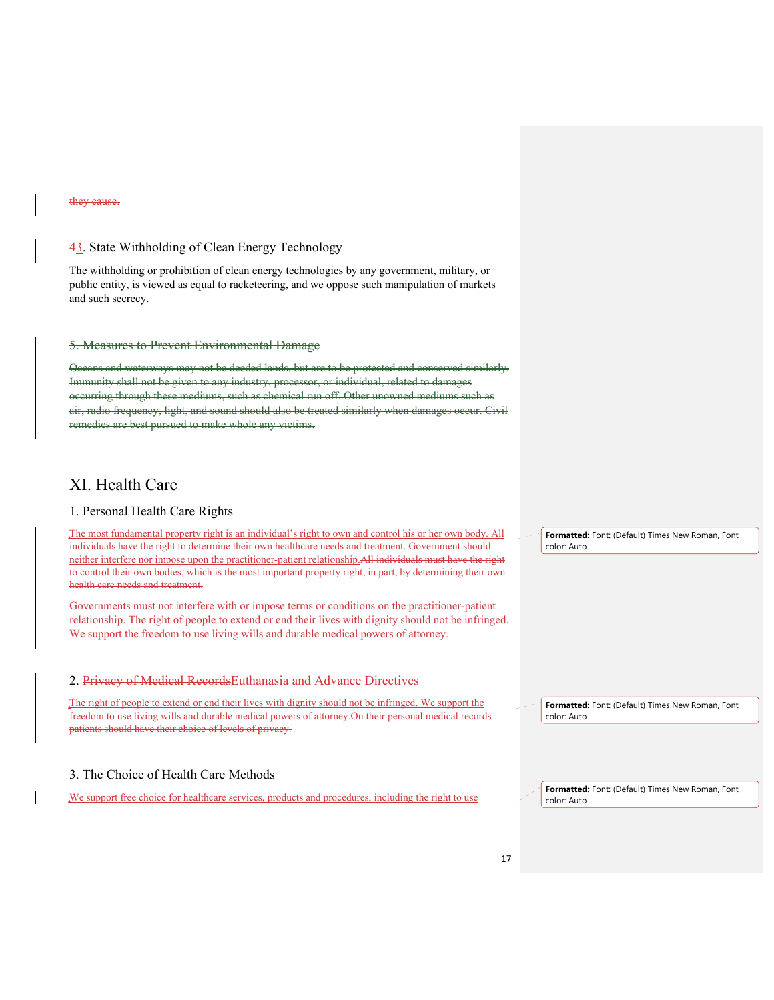#### they cause.

### 43. State Withholding of Clean Energy Technology

The withholding or prohibition of clean energy technologies by any government, military, or public entity, is viewed as equal to racketeering, and we oppose such manipulation of markets and such secrecy.

### 5. Measures to Prevent Environmental Damage

Oceans and waterways may not be deeded lands, but are to be protected and conserved similarly. Immunity shall not be given to any industry, processor, or individual, related to damages occurring through these mediums, such as chemical run off. Other unowned radio frequency, light, and sound should also be treated similarly remed to make whole any victims.

### XI. Health Care

### 1. Personal Health Care Rights

The most fundamental property right is an individual's right to own and control his or her own body. All individuals have the right to determine their own healthcare needs and treatment. Government should neither interfere nor impose upon the practitioner-patient relationship.All individuals must have the right to control their own bodies, which is the most important property right, in part, by determining their own health care needs and treatment.

Governments must not interfere with or impose terms or conditions on the practitioner-patient relationship. The right of people to extend or end their lives with dignity should not be infringed. We support the freedom to use living wills and durable medical powers of attorney.

### 2. Privacy of Medical Records Euthanasia and Advance Directives

The right of people to extend or end their lives with dignity should not be infringed. We support the freedom to use living wills and durable medical powers of attorney.On their personal medical records patients should have their choice of levels of privacy.

### 3. The Choice of Health Care Methods

We support free choice for healthcare services, products and procedures, including the right to use

**Formatted:** Font: (Default) Times New Roman, Font color: Auto

**Formatted:** Font: (Default) Times New Roman, Font color: Auto

**Formatted:** Font: (Default) Times New Roman, Font color: Auto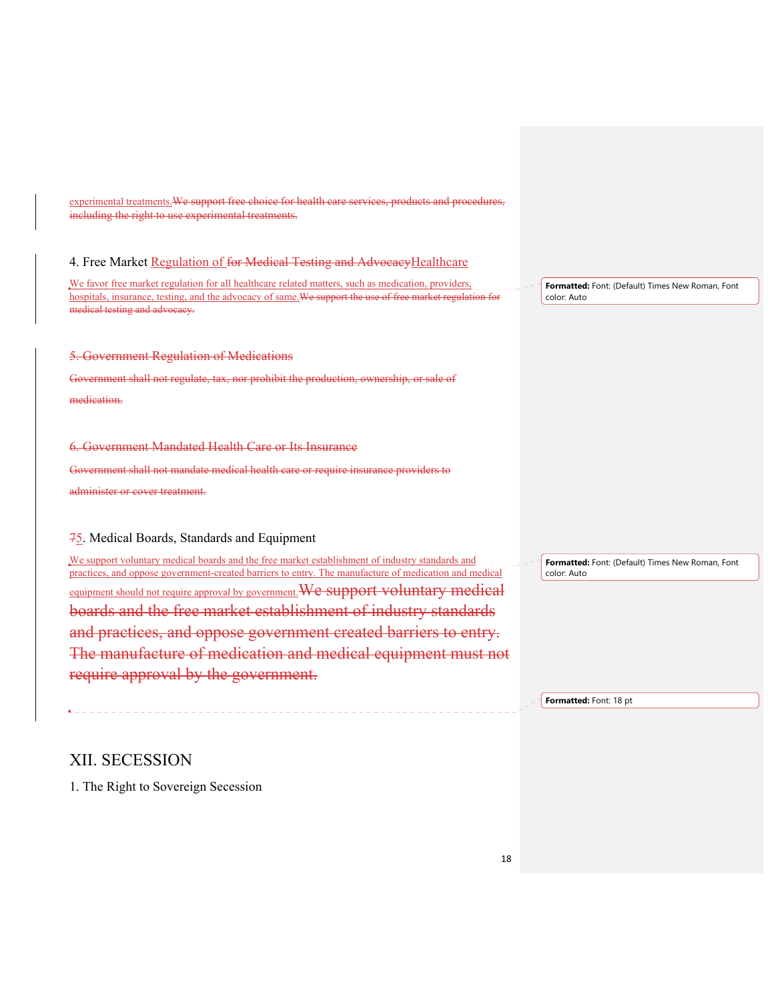experimental treatments.We support free choice for health care services, products and procedures, including the right to use experimental treatments. 4. Free Market Regulation of for Medical Testing and AdvocacyHealthcare We favor free market regulation for all healthcare related matters, such as medication, providers, hospitals, insurance, testing, and the advocacy of same. We support the use of free market regulation for medical testing and advocacy. 5. Government Regulation of Medications Government shall not regulate, tax, nor prohibit the production, ownership, or sale of medication. 6. Government Mandated Health Care or Its Insurance Government shall not mandate medical health care or require insurance providers to administer or cover treatment. 75. Medical Boards, Standards and Equipment We support voluntary medical boards and the free market establishment of industry standards and practices, and oppose government-created barriers to entry. The manufacture of medication and medical equipment should not require approval by government. We support voluntary medical boards and the free market establishment of industry standards and practices, and oppose government created barriers to entry. The manufacture of medication and medical equipment must not require approval by the government. XII. SECESSION 1. The Right to Sovereign Secession **Formatted:** Font: (Default) Times New Roman, Font color: Auto **Formatted:** Font: (Default) Times New Roman, Font color: Auto **Formatted:** Font: 18 pt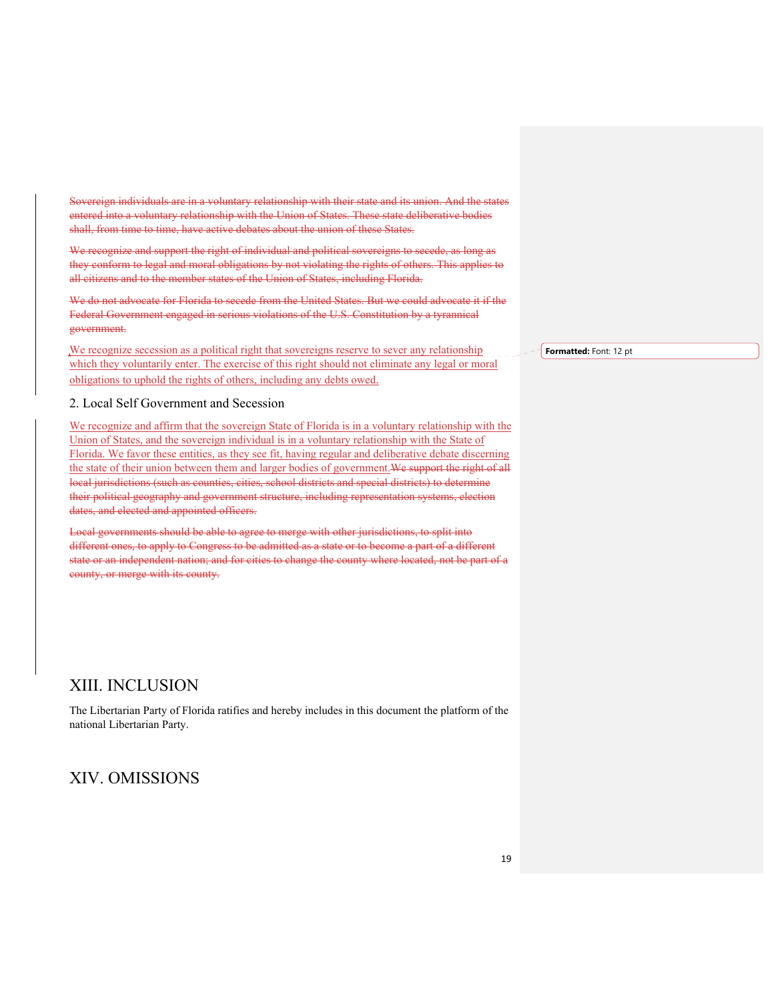Sovereign individuals are in a voluntary relationship with their state and its union. And the states entered into a voluntary relationship with the Union of States. These state deliberative bodies shall, from time to time, have active debates about the union of these States.

We recognize and support the right of individual and political sovereigns to secede, as long as they conform to legal and moral obligations by not violating the rights of others. This applies to all citizens and to the member states of the Union of States, including Florida.

We do not advocate for Florida to secede from the United States. But we could advocate it if the Federal Government engaged in serious violations of the U.S. Constitution by a tyrannical government.

We recognize secession as a political right that sovereigns reserve to sever any relationship which they voluntarily enter. The exercise of this right should not eliminate any legal or moral obligations to uphold the rights of others, including any debts owed.

### 2. Local Self Government and Secession

We recognize and affirm that the sovereign State of Florida is in a voluntary relationship with the Union of States, and the sovereign individual is in a voluntary relationship with the State of Florida. We favor these entities, as they see fit, having regular and deliberative debate discerning the state of their union between them and larger bodies of government. We support the right of all local jurisdictions (such as counties, cities, school districts and special districts) to determine their political geography and government structure, including representation systems, election dates, and elected and appointed officers.

Local governments should be able to agree to merge with other jurisdictions, to split into different ones, to apply to Congress to be admitted as a state or to become a part of a different state or an independent nation; and for cities to change the county where located, not be part of a county, or merge with its county.

### XIII. INCLUSION

The Libertarian Party of Florida ratifies and hereby includes in this document the platform of the national Libertarian Party.

### XIV. OMISSIONS

#### **Formatted:** Font: 12 pt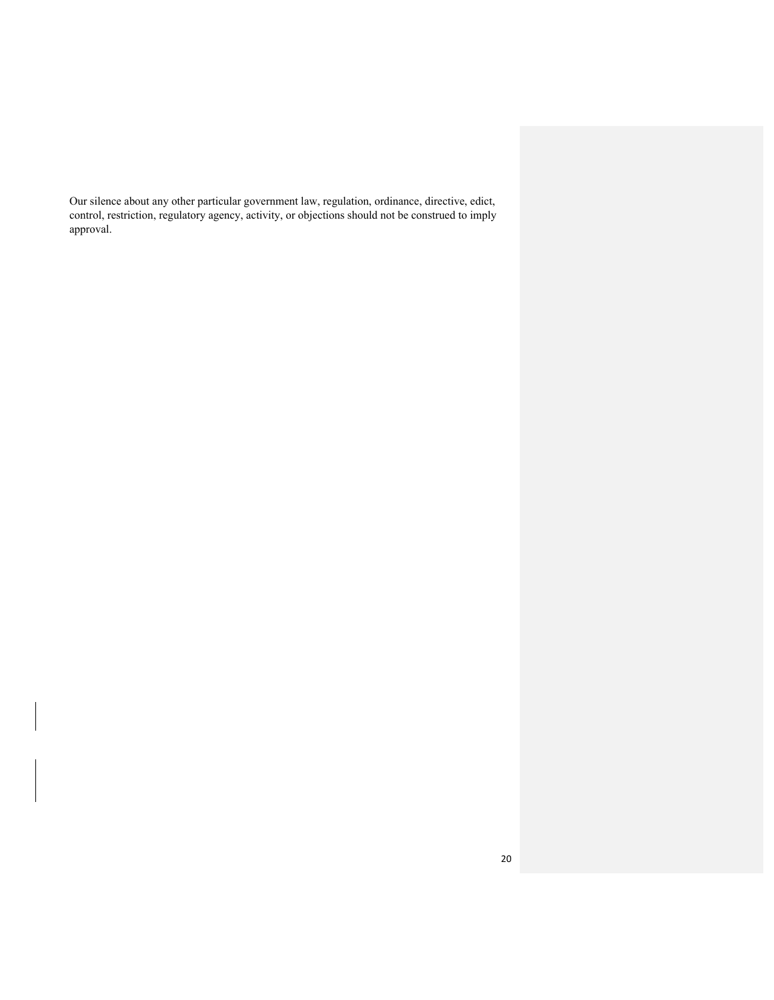Our silence about any other particular government law, regulation, ordinance, directive, edict, control, restriction, regulatory agency, activity, or objections should not be construed to imply approval.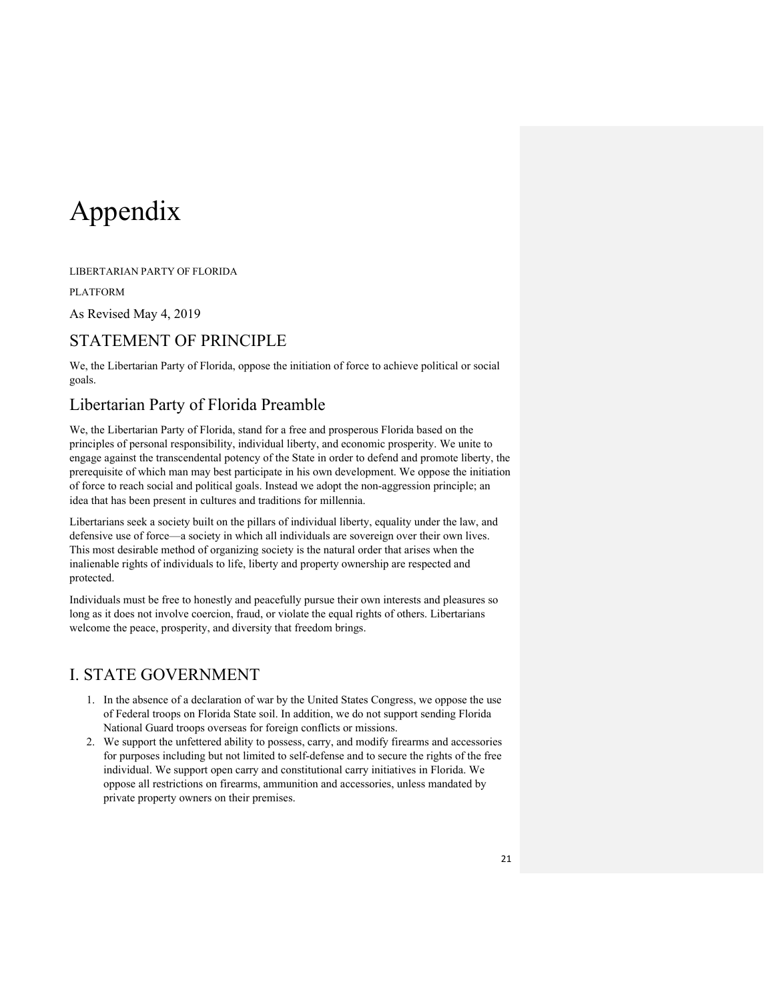# Appendix

LIBERTARIAN PARTY OF FLORIDA

PLATFORM

As Revised May 4, 2019

# STATEMENT OF PRINCIPLE

We, the Libertarian Party of Florida, oppose the initiation of force to achieve political or social goals.

# Libertarian Party of Florida Preamble

We, the Libertarian Party of Florida, stand for a free and prosperous Florida based on the principles of personal responsibility, individual liberty, and economic prosperity. We unite to engage against the transcendental potency of the State in order to defend and promote liberty, the prerequisite of which man may best participate in his own development. We oppose the initiation of force to reach social and political goals. Instead we adopt the non-aggression principle; an idea that has been present in cultures and traditions for millennia.

Libertarians seek a society built on the pillars of individual liberty, equality under the law, and defensive use of force—a society in which all individuals are sovereign over their own lives. This most desirable method of organizing society is the natural order that arises when the inalienable rights of individuals to life, liberty and property ownership are respected and protected.

Individuals must be free to honestly and peacefully pursue their own interests and pleasures so long as it does not involve coercion, fraud, or violate the equal rights of others. Libertarians welcome the peace, prosperity, and diversity that freedom brings.

# I. STATE GOVERNMENT

- 1. In the absence of a declaration of war by the United States Congress, we oppose the use of Federal troops on Florida State soil. In addition, we do not support sending Florida National Guard troops overseas for foreign conflicts or missions.
- 2. We support the unfettered ability to possess, carry, and modify firearms and accessories for purposes including but not limited to self-defense and to secure the rights of the free individual. We support open carry and constitutional carry initiatives in Florida. We oppose all restrictions on firearms, ammunition and accessories, unless mandated by private property owners on their premises.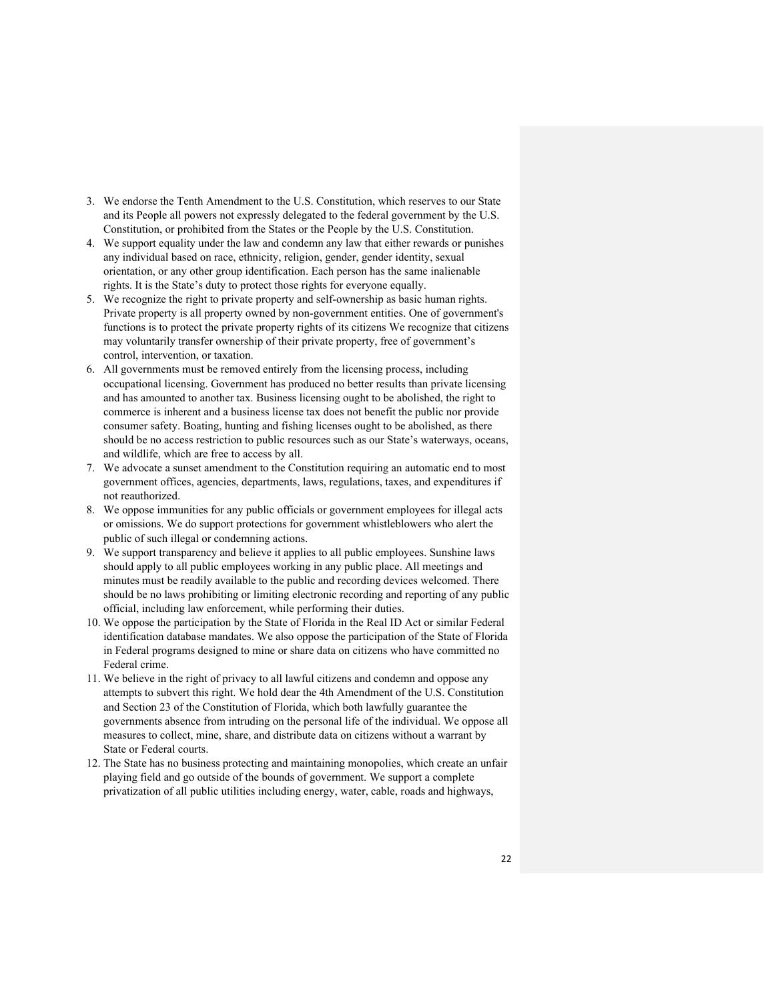- 3. We endorse the Tenth Amendment to the U.S. Constitution, which reserves to our State and its People all powers not expressly delegated to the federal government by the U.S. Constitution, or prohibited from the States or the People by the U.S. Constitution.
- 4. We support equality under the law and condemn any law that either rewards or punishes any individual based on race, ethnicity, religion, gender, gender identity, sexual orientation, or any other group identification. Each person has the same inalienable rights. It is the State's duty to protect those rights for everyone equally.
- 5. We recognize the right to private property and self-ownership as basic human rights. Private property is all property owned by non-government entities. One of government's functions is to protect the private property rights of its citizens We recognize that citizens may voluntarily transfer ownership of their private property, free of government's control, intervention, or taxation.
- 6. All governments must be removed entirely from the licensing process, including occupational licensing. Government has produced no better results than private licensing and has amounted to another tax. Business licensing ought to be abolished, the right to commerce is inherent and a business license tax does not benefit the public nor provide consumer safety. Boating, hunting and fishing licenses ought to be abolished, as there should be no access restriction to public resources such as our State's waterways, oceans, and wildlife, which are free to access by all.
- 7. We advocate a sunset amendment to the Constitution requiring an automatic end to most government offices, agencies, departments, laws, regulations, taxes, and expenditures if not reauthorized.
- 8. We oppose immunities for any public officials or government employees for illegal acts or omissions. We do support protections for government whistleblowers who alert the public of such illegal or condemning actions.
- 9. We support transparency and believe it applies to all public employees. Sunshine laws should apply to all public employees working in any public place. All meetings and minutes must be readily available to the public and recording devices welcomed. There should be no laws prohibiting or limiting electronic recording and reporting of any public official, including law enforcement, while performing their duties.
- 10. We oppose the participation by the State of Florida in the Real ID Act or similar Federal identification database mandates. We also oppose the participation of the State of Florida in Federal programs designed to mine or share data on citizens who have committed no Federal crime.
- 11. We believe in the right of privacy to all lawful citizens and condemn and oppose any attempts to subvert this right. We hold dear the 4th Amendment of the U.S. Constitution and Section 23 of the Constitution of Florida, which both lawfully guarantee the governments absence from intruding on the personal life of the individual. We oppose all measures to collect, mine, share, and distribute data on citizens without a warrant by State or Federal courts.
- 12. The State has no business protecting and maintaining monopolies, which create an unfair playing field and go outside of the bounds of government. We support a complete privatization of all public utilities including energy, water, cable, roads and highways,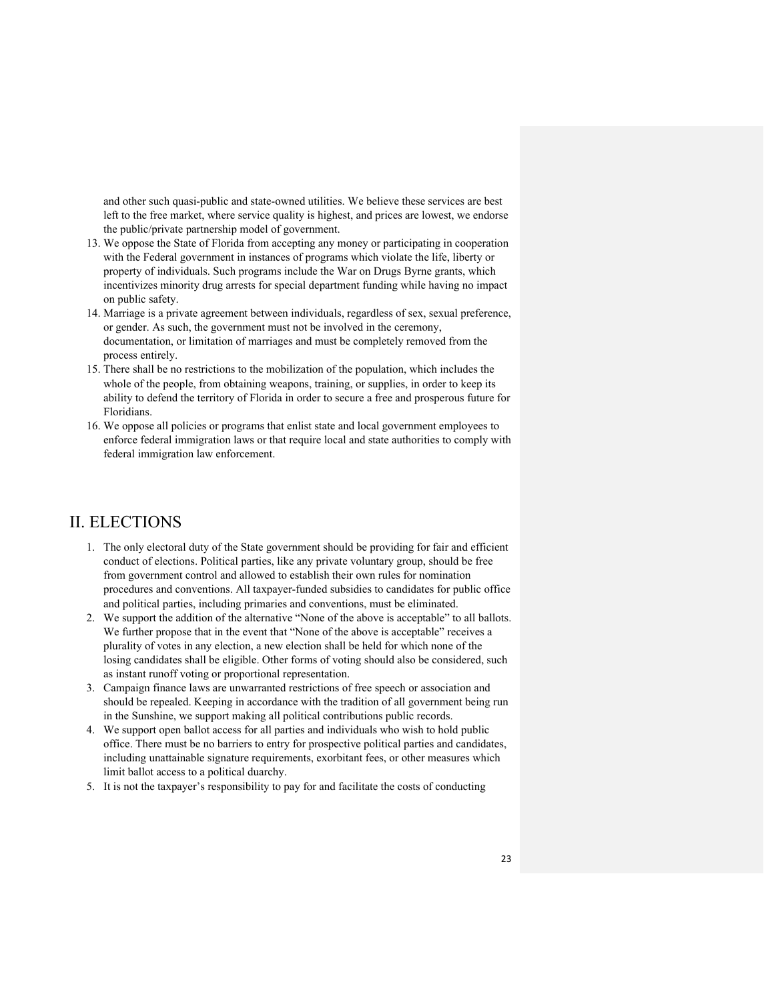and other such quasi-public and state-owned utilities. We believe these services are best left to the free market, where service quality is highest, and prices are lowest, we endorse the public/private partnership model of government.

- 13. We oppose the State of Florida from accepting any money or participating in cooperation with the Federal government in instances of programs which violate the life, liberty or property of individuals. Such programs include the War on Drugs Byrne grants, which incentivizes minority drug arrests for special department funding while having no impact on public safety.
- 14. Marriage is a private agreement between individuals, regardless of sex, sexual preference, or gender. As such, the government must not be involved in the ceremony, documentation, or limitation of marriages and must be completely removed from the process entirely.
- 15. There shall be no restrictions to the mobilization of the population, which includes the whole of the people, from obtaining weapons, training, or supplies, in order to keep its ability to defend the territory of Florida in order to secure a free and prosperous future for Floridians.
- 16. We oppose all policies or programs that enlist state and local government employees to enforce federal immigration laws or that require local and state authorities to comply with federal immigration law enforcement.

### II. ELECTIONS

- 1. The only electoral duty of the State government should be providing for fair and efficient conduct of elections. Political parties, like any private voluntary group, should be free from government control and allowed to establish their own rules for nomination procedures and conventions. All taxpayer-funded subsidies to candidates for public office and political parties, including primaries and conventions, must be eliminated.
- 2. We support the addition of the alternative "None of the above is acceptable" to all ballots. We further propose that in the event that "None of the above is acceptable" receives a plurality of votes in any election, a new election shall be held for which none of the losing candidates shall be eligible. Other forms of voting should also be considered, such as instant runoff voting or proportional representation.
- 3. Campaign finance laws are unwarranted restrictions of free speech or association and should be repealed. Keeping in accordance with the tradition of all government being run in the Sunshine, we support making all political contributions public records.
- 4. We support open ballot access for all parties and individuals who wish to hold public office. There must be no barriers to entry for prospective political parties and candidates, including unattainable signature requirements, exorbitant fees, or other measures which limit ballot access to a political duarchy.
- 5. It is not the taxpayer's responsibility to pay for and facilitate the costs of conducting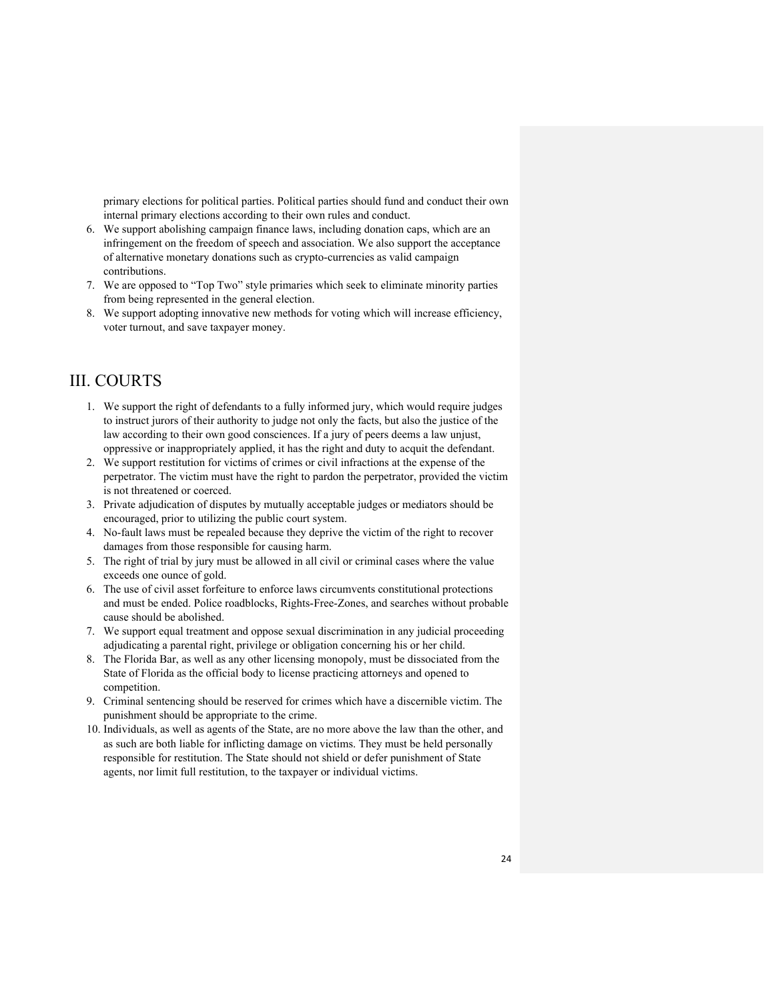primary elections for political parties. Political parties should fund and conduct their own internal primary elections according to their own rules and conduct.

- 6. We support abolishing campaign finance laws, including donation caps, which are an infringement on the freedom of speech and association. We also support the acceptance of alternative monetary donations such as crypto-currencies as valid campaign contributions.
- 7. We are opposed to "Top Two" style primaries which seek to eliminate minority parties from being represented in the general election.
- 8. We support adopting innovative new methods for voting which will increase efficiency, voter turnout, and save taxpayer money.

# III. COURTS

- 1. We support the right of defendants to a fully informed jury, which would require judges to instruct jurors of their authority to judge not only the facts, but also the justice of the law according to their own good consciences. If a jury of peers deems a law unjust, oppressive or inappropriately applied, it has the right and duty to acquit the defendant.
- 2. We support restitution for victims of crimes or civil infractions at the expense of the perpetrator. The victim must have the right to pardon the perpetrator, provided the victim is not threatened or coerced.
- 3. Private adjudication of disputes by mutually acceptable judges or mediators should be encouraged, prior to utilizing the public court system.
- 4. No-fault laws must be repealed because they deprive the victim of the right to recover damages from those responsible for causing harm.
- 5. The right of trial by jury must be allowed in all civil or criminal cases where the value exceeds one ounce of gold.
- 6. The use of civil asset forfeiture to enforce laws circumvents constitutional protections and must be ended. Police roadblocks, Rights-Free-Zones, and searches without probable cause should be abolished.
- 7. We support equal treatment and oppose sexual discrimination in any judicial proceeding adjudicating a parental right, privilege or obligation concerning his or her child.
- 8. The Florida Bar, as well as any other licensing monopoly, must be dissociated from the State of Florida as the official body to license practicing attorneys and opened to competition.
- 9. Criminal sentencing should be reserved for crimes which have a discernible victim. The punishment should be appropriate to the crime.
- 10. Individuals, as well as agents of the State, are no more above the law than the other, and as such are both liable for inflicting damage on victims. They must be held personally responsible for restitution. The State should not shield or defer punishment of State agents, nor limit full restitution, to the taxpayer or individual victims.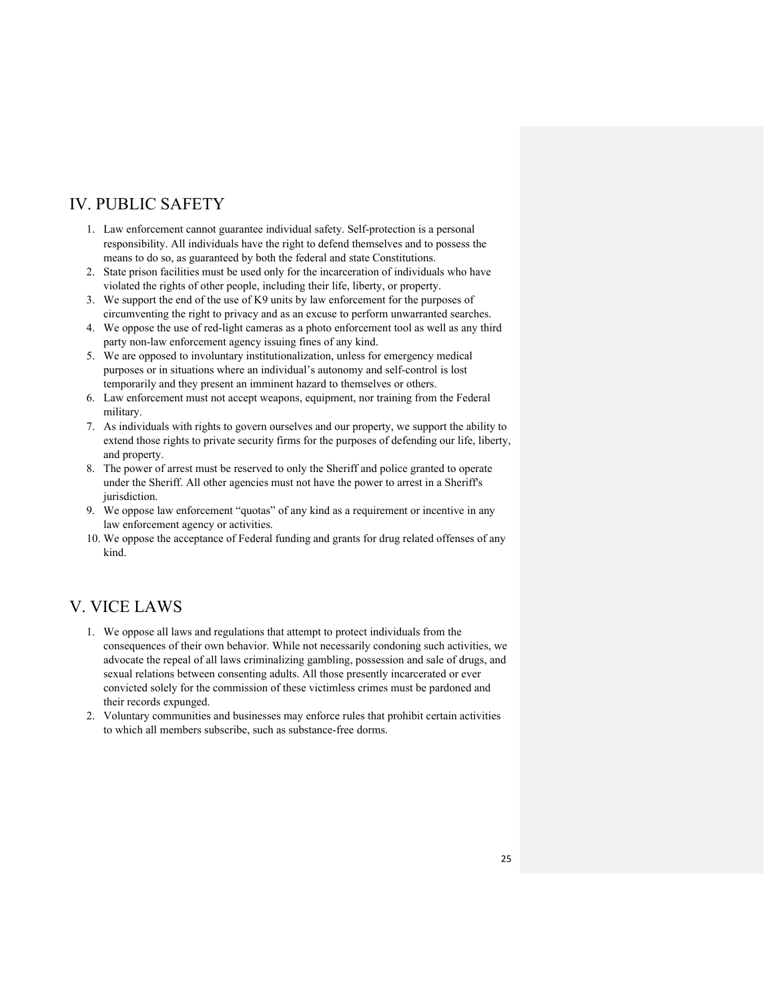# IV. PUBLIC SAFETY

- 1. Law enforcement cannot guarantee individual safety. Self-protection is a personal responsibility. All individuals have the right to defend themselves and to possess the means to do so, as guaranteed by both the federal and state Constitutions.
- 2. State prison facilities must be used only for the incarceration of individuals who have violated the rights of other people, including their life, liberty, or property.
- 3. We support the end of the use of K9 units by law enforcement for the purposes of circumventing the right to privacy and as an excuse to perform unwarranted searches.
- 4. We oppose the use of red-light cameras as a photo enforcement tool as well as any third party non-law enforcement agency issuing fines of any kind.
- 5. We are opposed to involuntary institutionalization, unless for emergency medical purposes or in situations where an individual's autonomy and self-control is lost temporarily and they present an imminent hazard to themselves or others.
- 6. Law enforcement must not accept weapons, equipment, nor training from the Federal military.
- 7. As individuals with rights to govern ourselves and our property, we support the ability to extend those rights to private security firms for the purposes of defending our life, liberty, and property.
- 8. The power of arrest must be reserved to only the Sheriff and police granted to operate under the Sheriff. All other agencies must not have the power to arrest in a Sheriff's jurisdiction.
- 9. We oppose law enforcement "quotas" of any kind as a requirement or incentive in any law enforcement agency or activities.
- 10. We oppose the acceptance of Federal funding and grants for drug related offenses of any kind.

# V. VICE LAWS

- 1. We oppose all laws and regulations that attempt to protect individuals from the consequences of their own behavior. While not necessarily condoning such activities, we advocate the repeal of all laws criminalizing gambling, possession and sale of drugs, and sexual relations between consenting adults. All those presently incarcerated or ever convicted solely for the commission of these victimless crimes must be pardoned and their records expunged.
- 2. Voluntary communities and businesses may enforce rules that prohibit certain activities to which all members subscribe, such as substance-free dorms.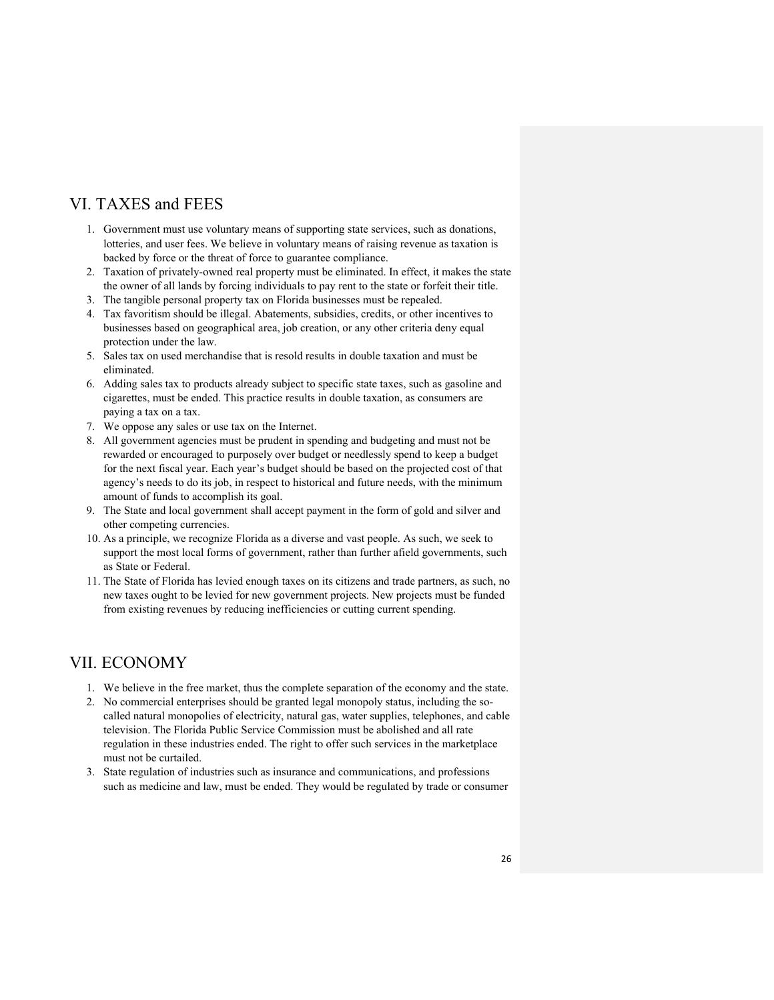# VI. TAXES and FEES

- 1. Government must use voluntary means of supporting state services, such as donations, lotteries, and user fees. We believe in voluntary means of raising revenue as taxation is backed by force or the threat of force to guarantee compliance.
- 2. Taxation of privately-owned real property must be eliminated. In effect, it makes the state the owner of all lands by forcing individuals to pay rent to the state or forfeit their title.
- 3. The tangible personal property tax on Florida businesses must be repealed.
- 4. Tax favoritism should be illegal. Abatements, subsidies, credits, or other incentives to businesses based on geographical area, job creation, or any other criteria deny equal protection under the law.
- 5. Sales tax on used merchandise that is resold results in double taxation and must be eliminated.
- 6. Adding sales tax to products already subject to specific state taxes, such as gasoline and cigarettes, must be ended. This practice results in double taxation, as consumers are paying a tax on a tax.
- 7. We oppose any sales or use tax on the Internet.
- 8. All government agencies must be prudent in spending and budgeting and must not be rewarded or encouraged to purposely over budget or needlessly spend to keep a budget for the next fiscal year. Each year's budget should be based on the projected cost of that agency's needs to do its job, in respect to historical and future needs, with the minimum amount of funds to accomplish its goal.
- 9. The State and local government shall accept payment in the form of gold and silver and other competing currencies.
- 10. As a principle, we recognize Florida as a diverse and vast people. As such, we seek to support the most local forms of government, rather than further afield governments, such as State or Federal.
- 11. The State of Florida has levied enough taxes on its citizens and trade partners, as such, no new taxes ought to be levied for new government projects. New projects must be funded from existing revenues by reducing inefficiencies or cutting current spending.

# VII. ECONOMY

- 1. We believe in the free market, thus the complete separation of the economy and the state.
- 2. No commercial enterprises should be granted legal monopoly status, including the socalled natural monopolies of electricity, natural gas, water supplies, telephones, and cable television. The Florida Public Service Commission must be abolished and all rate regulation in these industries ended. The right to offer such services in the marketplace must not be curtailed.
- 3. State regulation of industries such as insurance and communications, and professions such as medicine and law, must be ended. They would be regulated by trade or consumer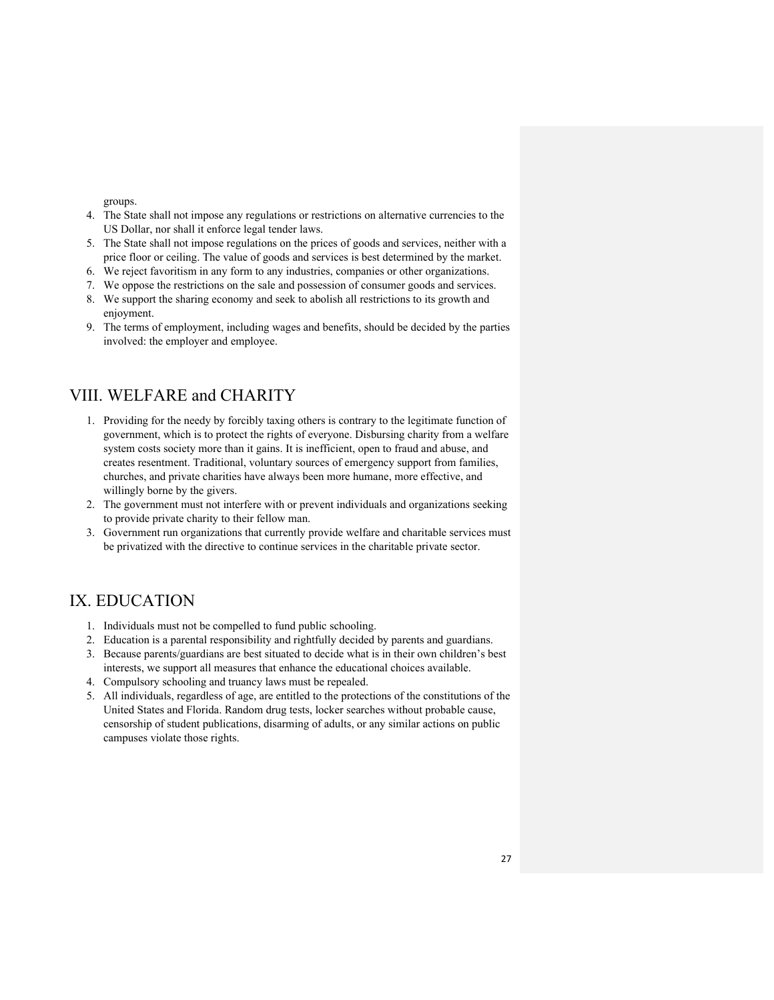groups.

- 4. The State shall not impose any regulations or restrictions on alternative currencies to the US Dollar, nor shall it enforce legal tender laws.
- 5. The State shall not impose regulations on the prices of goods and services, neither with a price floor or ceiling. The value of goods and services is best determined by the market.
- 6. We reject favoritism in any form to any industries, companies or other organizations.
- 7. We oppose the restrictions on the sale and possession of consumer goods and services.
- 8. We support the sharing economy and seek to abolish all restrictions to its growth and enjoyment.
- 9. The terms of employment, including wages and benefits, should be decided by the parties involved: the employer and employee.

### VIII. WELFARE and CHARITY

- 1. Providing for the needy by forcibly taxing others is contrary to the legitimate function of government, which is to protect the rights of everyone. Disbursing charity from a welfare system costs society more than it gains. It is inefficient, open to fraud and abuse, and creates resentment. Traditional, voluntary sources of emergency support from families, churches, and private charities have always been more humane, more effective, and willingly borne by the givers.
- 2. The government must not interfere with or prevent individuals and organizations seeking to provide private charity to their fellow man.
- 3. Government run organizations that currently provide welfare and charitable services must be privatized with the directive to continue services in the charitable private sector.

# IX. EDUCATION

- 1. Individuals must not be compelled to fund public schooling.
- 2. Education is a parental responsibility and rightfully decided by parents and guardians.
- 3. Because parents/guardians are best situated to decide what is in their own children's best interests, we support all measures that enhance the educational choices available.
- 4. Compulsory schooling and truancy laws must be repealed.
- 5. All individuals, regardless of age, are entitled to the protections of the constitutions of the United States and Florida. Random drug tests, locker searches without probable cause, censorship of student publications, disarming of adults, or any similar actions on public campuses violate those rights.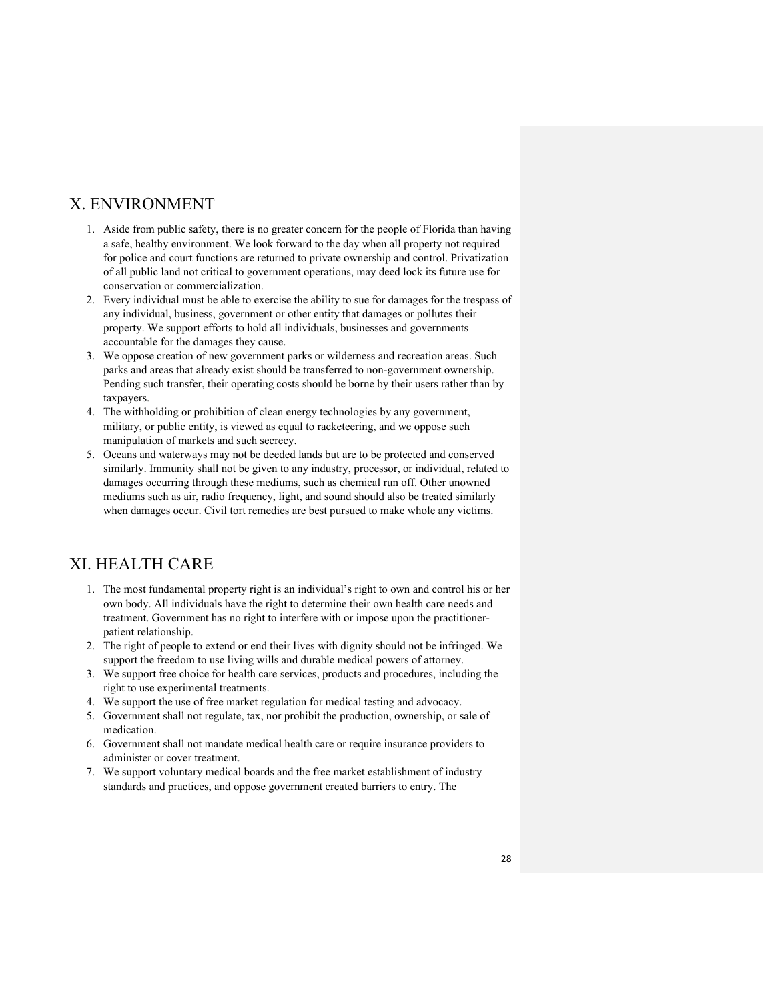### X. ENVIRONMENT

- 1. Aside from public safety, there is no greater concern for the people of Florida than having a safe, healthy environment. We look forward to the day when all property not required for police and court functions are returned to private ownership and control. Privatization of all public land not critical to government operations, may deed lock its future use for conservation or commercialization.
- 2. Every individual must be able to exercise the ability to sue for damages for the trespass of any individual, business, government or other entity that damages or pollutes their property. We support efforts to hold all individuals, businesses and governments accountable for the damages they cause.
- 3. We oppose creation of new government parks or wilderness and recreation areas. Such parks and areas that already exist should be transferred to non-government ownership. Pending such transfer, their operating costs should be borne by their users rather than by taxpayers.
- 4. The withholding or prohibition of clean energy technologies by any government, military, or public entity, is viewed as equal to racketeering, and we oppose such manipulation of markets and such secrecy.
- 5. Oceans and waterways may not be deeded lands but are to be protected and conserved similarly. Immunity shall not be given to any industry, processor, or individual, related to damages occurring through these mediums, such as chemical run off. Other unowned mediums such as air, radio frequency, light, and sound should also be treated similarly when damages occur. Civil tort remedies are best pursued to make whole any victims.

# XI. HEALTH CARE

- 1. The most fundamental property right is an individual's right to own and control his or her own body. All individuals have the right to determine their own health care needs and treatment. Government has no right to interfere with or impose upon the practitionerpatient relationship.
- 2. The right of people to extend or end their lives with dignity should not be infringed. We support the freedom to use living wills and durable medical powers of attorney.
- 3. We support free choice for health care services, products and procedures, including the right to use experimental treatments.
- 4. We support the use of free market regulation for medical testing and advocacy.
- 5. Government shall not regulate, tax, nor prohibit the production, ownership, or sale of medication.
- 6. Government shall not mandate medical health care or require insurance providers to administer or cover treatment.
- 7. We support voluntary medical boards and the free market establishment of industry standards and practices, and oppose government created barriers to entry. The